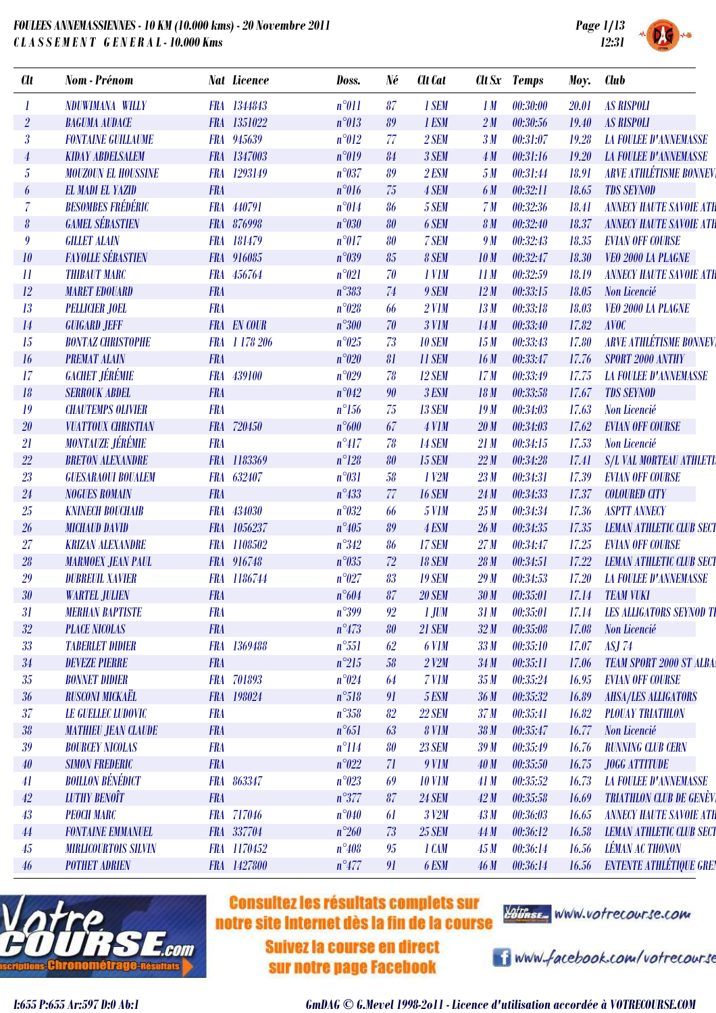

| <b>Clt</b>                 | Nom - Prénom                |            | <b>Nat Licence</b> | Doss.          | Né | Clt Cat            |                 | Clt Sx Temps | Moy.  | Club                            |
|----------------------------|-----------------------------|------------|--------------------|----------------|----|--------------------|-----------------|--------------|-------|---------------------------------|
|                            | NDUWIMANA WILLY             |            | FRA 1344843        | $n^{\circ}011$ | 87 | 1 SEM              | 1M              | 00:30:00     | 20.01 | <b>AS RISPOLI</b>               |
| $\overline{2}$             | <b>BAGUMA AUDACE</b>        |            | FRA 1351022        | $n^{\circ}013$ | 89 | 1 ESM              | 2M              | 00:30:56     | 19.40 | <b>AS RISPOLI</b>               |
| $\boldsymbol{\beta}$       | <b>FONTAINE GUILLAUME</b>   |            | FRA 945639         | $n^{\circ}012$ | 77 | 2 SEM              | 3M              | 00:31:07     | 19.28 | <b>LA FOULEE D'ANNEMASSE</b>    |
| $\overline{4}$             | <b>KIDAY ABDELSALEM</b>     |            | FRA 1347003        | n°019          | 84 | 3 SEM              | 4M              | 00:31:16     | 19.20 | <b>LA FOULEE D'ANNEMASSE</b>    |
| $\overline{5}$             | <b>MOUZOUN EL HOUSSINE</b>  | <b>FRA</b> | 1293149            | $n^{\circ}037$ | 89 | 2 ESM              | 5M              | 00:31:44     | 18.91 | <b>ARVE ATHLÉTISME BONNEVI</b>  |
| 6                          | <b>EL MADI EL YAZID</b>     | <b>FRA</b> |                    | $n^{\circ}016$ | 75 | 4 SEM              | 6 M             | 00:32:11     | 18.65 | <b>TDS SEYNOD</b>               |
| $\overline{7}$             | <b>BESOMBES FRÉDÉRIC</b>    |            | FRA 440791         | $n^{\circ}014$ | 86 | 5 SEM              | 7 <sub>M</sub>  | 00:32:36     | 18.41 | <b>ANNECY HAUTE SAVOIE ATH</b>  |
| $\boldsymbol{\theta}$      | <b>GAMEL SÉBASTIEN</b>      |            | FRA 876998         | $n^{\circ}030$ | 80 | 6 SEM              | 8 <sub>M</sub>  | 00:32:40     | 18.37 | <b>ANNECY HAUTE SAVOIE ATH</b>  |
| 9                          | <b>GILLET ALAIN</b>         |            | FRA 181479         | $n^{\circ}017$ | 80 | 7 SEM              | 9 M             | 00:32:43     | 18.35 | <b>EVIAN OFF COURSE</b>         |
| 10                         | <b>FAYOLLE SÉBASTIEN</b>    |            | FRA 916085         | $n^{\circ}039$ | 85 | 8 SEM              | 10 <sub>M</sub> | 00:32:47     | 18.30 | VEO 2000 LA PLAGNE              |
| $\boldsymbol{\mathit{11}}$ | <b>THIBAUT MARC</b>         | <b>FRA</b> | 456764             | $n^{\circ}021$ | 70 | 1 V <sub>1</sub> M | 11M             | 00:32:59     | 18.19 | <b>ANNECY HAUTE SAVOIE ATH</b>  |
| 12                         | <b>MARET EDOUARD</b>        | <b>FRA</b> |                    | $n^{\circ}383$ | 74 | 9 SEM              | 12M             | 00:33:15     | 18.05 | Non Licencié                    |
| 13                         | <b>PELLICIER JOEL</b>       | <b>FRA</b> |                    | $n^{\circ}028$ | 66 | $2$ V1M            | 13M             | 00:33:18     | 18.03 | VEO 2000 LA PLAGNE              |
| 14                         | <b>GUIGARD JEFF</b>         |            | <b>FRA</b> EN COUR | $n^{\circ}300$ | 70 | 3 V1M              | 14M             | 00:33:40     | 17.82 | <b>AVOC</b>                     |
| 15                         | <b>BONTAZ CHRISTOPHE</b>    |            | FRA 1 178 206      | $n^{\circ}025$ | 73 | <b>10 SEM</b>      | 15M             | 00:33:43     | 17.80 | <b>ARVE ATHLÉTISME BONNEV</b>   |
| 16                         | <b>PREMAT ALAIN</b>         | <b>FRA</b> |                    | $n^{\circ}020$ | 81 | <b>11 SEM</b>      | 16M             | 00:33:47     | 17.76 | <b>SPORT 2000 ANTHY</b>         |
| 17                         | <b>GACHET JÉRÉMIE</b>       | <b>FRA</b> | 439100             | $n^{\circ}029$ | 78 | <b>12 SEM</b>      | 17 <sub>M</sub> | 00:33:49     | 17.75 | <b>LA FOULEE D'ANNEMASSE</b>    |
| 18                         | <b>SERROUK ABDEL</b>        | <b>FRA</b> |                    | $n^{\circ}042$ | 90 | 3 ESM              | 18 M            | 00:33:58     | 17.67 | <b>TDS SEYNOD</b>               |
| 19                         | <b>CHAUTEMPS OLIVIER</b>    | <b>FRA</b> |                    | $n^{\circ}156$ | 75 | <b>13 SEM</b>      | 19M             | 00:34:03     | 17.63 | Non Licencié                    |
| 20                         | <b>VUATTOUX CHRISTIAN</b>   | <b>FRA</b> | 720450             | $n^{\circ}600$ | 67 | 4 V1M              | 20M             | 00:34:03     | 17.62 | <b>EVIAN OFF COURSE</b>         |
| 21                         | <b>MONTAUZE JÉRÉMIE</b>     | <b>FRA</b> |                    | $n^{\circ}417$ | 78 | <b>14 SEM</b>      | 21M             | 00:34:15     | 17.53 | Non Licencié                    |
| $22\,$                     | <b>BRETON ALEXANDRE</b>     |            | FRA 1183369        | $n^{\circ}128$ | 80 | <b>15 SEM</b>      | 22M             | 00:34:28     | 17.41 | <b>S/L VAL MORTEAU ATHLETI:</b> |
| 23                         | <b>GUESARAOUI BOUALEM</b>   | <b>FRA</b> | 632407             | $n^{\circ}031$ | 58 | $1$ $V2M$          | 23M             | 00:34:31     | 17.39 | <b>EVIAN OFF COURSE</b>         |
| 24                         | <b>NOGUES ROMAIN</b>        | <b>FRA</b> |                    | $n^{\circ}433$ | 77 | <b>16 SEM</b>      | 24M             | 00:34:33     | 17.37 | <b>COLOURED CITY</b>            |
| 25                         | <b>KNINECH BOUCHAIB</b>     |            | FRA 434030         | $n^{\circ}032$ | 66 | <b>5 V1M</b>       | 25M             | 00:34:34     | 17.36 | <b>ASPTT ANNECY</b>             |
| 26                         | <b>MICHAUD DAVID</b>        |            | FRA 1056237        | $n^{\circ}405$ | 89 | 4 ESM              | 26M             | 00:34:35     | 17.35 | <b>LEMAN ATHLETIC CLUB SECT</b> |
| 27                         | <b>KRIZAN ALEXANDRE</b>     |            | FRA 1108502        | $n^{\circ}342$ | 86 | 17 SEM             | 27M             | 00:34:47     | 17.25 | <b>EVIAN OFF COURSE</b>         |
| 28                         | <b>MARMOEX JEAN PAUL</b>    |            | FRA 916748         | $n^{\circ}035$ | 72 | <b>18 SEM</b>      | 28 <sub>M</sub> | 00:34:51     | 17.22 | <b>LEMAN ATHLETIC CLUB SECT</b> |
| 29                         | <b>DUBREUIL XAVIER</b>      |            | FRA 1186744        | $n^{\circ}027$ | 83 | <b>19 SEM</b>      | 29M             | 00:34:53     | 17.20 | <b>LA FOULEE D'ANNEMASSE</b>    |
| $30\,$                     | <b>WARTEL JULIEN</b>        | <b>FRA</b> |                    | $n^{\circ}604$ | 87 | <b>20 SEM</b>      | 30M             | 00:35:01     | 17.14 | <b>TEAM VUKI</b>                |
| 31                         | <b>MERHAN BAPTISTE</b>      | <b>FRA</b> |                    | $n^{\circ}399$ | 92 | $1$ JUM            | 31 M            | 00:35:01     | 17.14 | <b>LES ALLIGATORS SEYNOD TI</b> |
| $32\,$                     | <b>PLACE NICOLAS</b>        | <b>FRA</b> |                    | $n^{\circ}473$ | 80 | <b>21 SEM</b>      | 32M             | 00:35:08     | 17.08 | Non Licencié                    |
| 33                         | <b>TABERLET DIDIER</b>      |            | FRA 1369488        | $n^{\circ}551$ | 62 | 6 V1M              | 33M             | 00:35:10     | 17.07 | <b>ASJ 74</b>                   |
| 34                         | <b>DEVEZE PIERRE</b>        | <b>FRA</b> |                    | $n^{\circ}215$ | 58 | $2$ V2M            | 34M             | 00:35:11     | 17.06 | <b>TEAM SPORT 2000 ST ALBA</b>  |
| 35                         | <b>BONNET DIDIER</b>        |            | FRA 701893         | $n^{\circ}024$ | 64 | 7 V1M              | 35 <sub>M</sub> | 00:35:24     | 16.95 | <b>EVIAN OFF COURSE</b>         |
| 36                         | <b>RUSCONI MICKAËL</b>      |            | FRA 198024         | $n^{\circ}518$ | 91 | 5 ESM              | 36 <sub>M</sub> | 00:35:32     | 16.89 | <b>AHSA/LES ALLIGATORS</b>      |
| $37\,$                     | <b>LE GUELLEC LUDOVIC</b>   | <b>FRA</b> |                    | $n^{\circ}358$ | 82 | <b>22 SEM</b>      | 37 <sub>M</sub> | 00:35:41     | 16.82 | <b>PLOUAY TRIATHLON</b>         |
| $3\mathcal{8}$             | <b>MATHIEU JEAN CLAUDE</b>  | <b>FRA</b> |                    | $n^{\circ}651$ | 63 | 8 V1M              | 38M             | 00:35:47     | 16.77 | Non Licencié                    |
| 39                         | <b>BOURCEY NICOLAS</b>      | <b>FRA</b> |                    | $n^{\circ}114$ | 80 | <b>23 SEM</b>      | 39M             | 00:35:49     | 16.76 | <b>RUNNING CLUB CERN</b>        |
| $40\,$                     | <b>SIMON FREDERIC</b>       | <b>FRA</b> |                    | $n^{\circ}022$ | 71 | 9 V1M              | 40M             | 00:35:50     | 16.75 | <b>JOGG ATTITUDE</b>            |
| 41                         | <b>BOILLON BÉNÉDICT</b>     |            | FRA 863347         | $n^{\circ}023$ | 69 | <b>10 V1M</b>      | 41M             | 00:35:52     | 16.73 | <b>LA FOULEE D'ANNEMASSE</b>    |
| $42\,$                     | <b>LUTHY BENOÎT</b>         | <b>FRA</b> |                    | $n^{\circ}377$ | 87 | <b>24 SEM</b>      | 42M             | 00:35:58     | 16.69 | <b>TRIATHLON CLUB DE GENÈVI</b> |
| 43                         | <b>PEOCH MARC</b>           |            | FRA 717046         | $n^{\circ}040$ | 61 | 3 V2M              | 43M             | 00:36:03     | 16.65 | <b>ANNECY HAUTE SAVOIE ATH</b>  |
| 44                         | <b>FONTAINE EMMANUEL</b>    |            | FRA 337704         | $n^{\circ}260$ | 73 | <b>25 SEM</b>      | 44 M            | 00:36:12     | 16.58 | <b>LEMAN ATHLETIC CLUB SECT</b> |
| 45                         | <b>MIRLICOURTOIS SILVIN</b> |            | FRA 1170452        | $n^{\circ}408$ | 95 | 1 CAM              | 45M             | 00:36:14     | 16.56 | <b>LÉMAN AC THONON</b>          |
| $46\,$                     | <b>POTHET ADRIEN</b>        |            | FRA 1427800        | $n^{\circ}477$ | 91 | 6 ESM              | 46M             | 00:36:14     | 16.56 | <b>ENTENTE ATHLÉTIQUE GREN</b>  |



## **Consultez les résultats complets sur** notre site Internet dès la fin de la course

**Suivez la course en direct** sur notre page Facebook



i www.facebook.com/votrecourse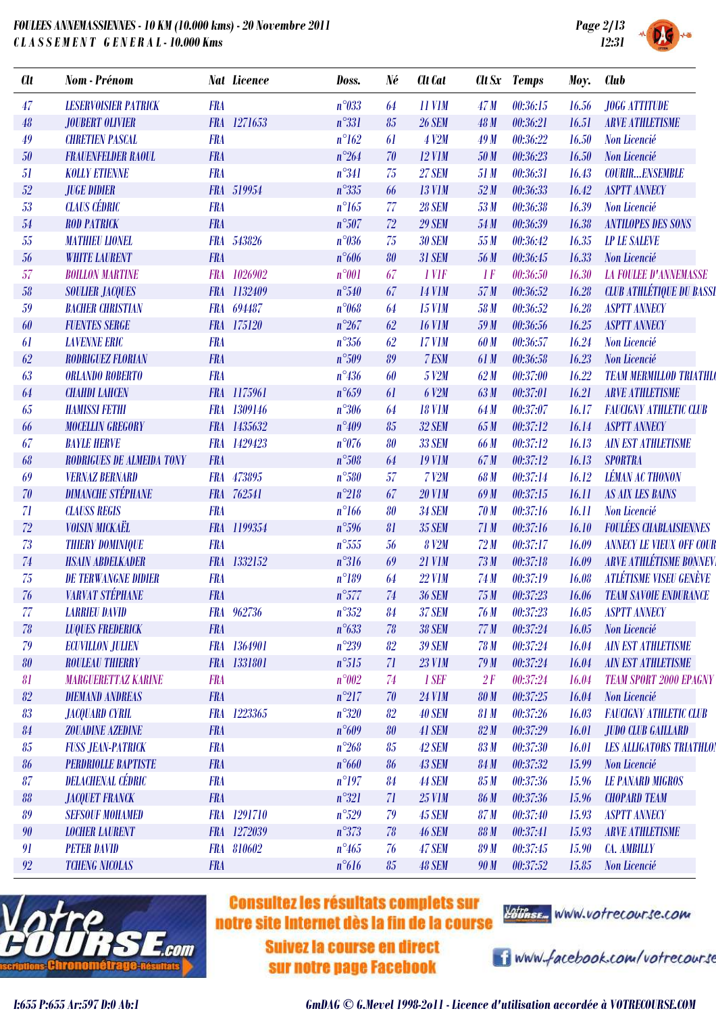



| <b>Clt</b> | Nom - Prénom                     |            | <b>Nat Licence</b> | Doss.          | Né | Clt Cat       |                 | Clt Sx Temps | Moy.         | <b>Club</b>                     |
|------------|----------------------------------|------------|--------------------|----------------|----|---------------|-----------------|--------------|--------------|---------------------------------|
| 47         | <b>LESERVOISIER PATRICK</b>      | <b>FRA</b> |                    | $n^{\circ}033$ | 64 | <b>11 V1M</b> | 47M             | 00:36:15     | 16.56        | <b>JOGG ATTITUDE</b>            |
| 48         | JOUBERT OLIVIER                  |            | FRA 1271653        | $n^{\circ}331$ | 85 | <b>26 SEM</b> | 48 M            | 00:36:21     | 16.51        | <b>ARVE ATHLETISME</b>          |
| 49         | <b>CHRETIEN PASCAL</b>           | <b>FRA</b> |                    | $n^{\circ}162$ | 61 | 4 V2M         | 49M             | 00:36:22     | 16.50        | Non Licencié                    |
| 50         | <b>FRAUENFELDER RAOUL</b>        | <b>FRA</b> |                    | $n^{\circ}264$ | 70 | <b>12 V1M</b> | 50 M            | 00:36:23     | 16.50        | Non Licencié                    |
| 51         | <b>KOLLY ETIENNE</b>             | <b>FRA</b> |                    | $n^{\circ}341$ | 75 | <b>27 SEM</b> | 51 M            | 00:36:31     | 16.43        | <b>COURIRENSEMBLE</b>           |
| 52         | <b>JUGE DIDIER</b>               |            | FRA 519954         | $n^{\circ}335$ | 66 | <b>13 V1M</b> | 52M             | 00:36:33     | 16.42        | <b>ASPTT ANNECY</b>             |
| 53         | <b>CLAUS CÉDRIC</b>              | <b>FRA</b> |                    | $n^{\circ}165$ | 77 | <b>28 SEM</b> | 53M             | 00:36:38     | 16.39        | Non Licencié                    |
| 54         | <b>ROD PATRICK</b>               | <b>FRA</b> |                    | $n^{\circ}507$ | 72 | <b>29 SEM</b> | 54 M            | 00:36:39     | 16.38        | <b>ANTILOPES DES SONS</b>       |
| 55         | <b>MATHIEU LIONEL</b>            | <b>FRA</b> | 543826             | $n^{\circ}036$ | 75 | <b>30 SEM</b> | 55M             | 00:36:42     | 16.35        | <b>LP LE SALEVE</b>             |
| 56         | <b>WHITE LAURENT</b>             | <b>FRA</b> |                    | $n^{\circ}606$ | 80 | <b>31 SEM</b> | 56 M            | 00:36:45     | 16.33        | Non Licencié                    |
| 57         | <b>BOILLON MARTINE</b>           |            | FRA 1026902        | $n^{\circ}001$ | 67 | 1 VIF         | 1F              | 00:36:50     | 16.30        | <b>LA FOULEE D'ANNEMASSE</b>    |
| 58         | <b>SOULIER JACQUES</b>           |            | FRA 1132409        | $n^{\circ}540$ | 67 | <b>14 V1M</b> | 57M             | 00:36:52     | 16.28        | <b>CLUB ATHLÉTIQUE DU BASSI</b> |
| 59         | <b>BACHER CHRISTIAN</b>          |            | FRA 694487         | $n^{\circ}068$ | 64 | <b>15 V1M</b> | 58 M            | 00:36:52     | 16.28        | <b>ASPTT ANNECY</b>             |
| 60         | <b>FUENTES SERGE</b>             |            | FRA 175120         | $n^{\circ}267$ | 62 | <b>16 V1M</b> | 59 M            | 00:36:56     | 16.25        | <b>ASPTT ANNECY</b>             |
| 61         | <b>LAVENNE ERIC</b>              | <b>FRA</b> |                    | $n^{\circ}356$ | 62 | <b>17 V1M</b> | 60 M            | 00:36:57     | 16.24        | Non Licencié                    |
| 62         | <b>RODRIGUEZ FLORIAN</b>         | <b>FRA</b> |                    | $n^{\circ}509$ | 89 | 7 ESM         | 61 M            | 00:36:58     | 16.23        | Non Licencié                    |
| 63         | <b>ORLANDO ROBERTO</b>           | <b>FRA</b> |                    | $n^{\circ}436$ | 60 | 5 V2M         | 62M             | 00:37:00     | 16.22        | <b>TEAM MERMILLOD TRIATHLO</b>  |
| 64         | <b>CHAHDI LAHCEN</b>             |            | FRA 1175961        | $n^{\circ}659$ | 61 | 6 V2M         | 63M             | 00:37:01     | 16.21        | <b>ARVE ATHLETISME</b>          |
| 65         | <b>HAMISSI FETHI</b>             |            | FRA 1309146        | $n^{\circ}306$ | 64 | <b>18 V1M</b> | 64 M            | 00:37:07     | 16.17        | <b>FAUCIGNY ATHLETIC CLUB</b>   |
| 66         | <b>MOCELLIN GREGORY</b>          |            | FRA 1435632        | $n^{\circ}409$ | 85 | 32 SEM        | 65 M            | 00:37:12     | 16.14        | <b>ASPTT ANNECY</b>             |
| 67         | <b>BAYLE HERVE</b>               | <b>FRA</b> | 1429423            | $n^{\circ}076$ | 80 | <b>33 SEM</b> | 66 M            | 00:37:12     | 16.13        | <b>AIN EST ATHLETISME</b>       |
| 68         | <b>RODRIGUES DE ALMEIDA TONY</b> | <b>FRA</b> |                    | $n^{\circ}508$ | 64 | <b>19 V1M</b> | 67M             | 00:37:12     | 16.13        | <b>SPORTRA</b>                  |
| 69         | <b>VERNAZ BERNARD</b>            |            | FRA 473895         | $n^{\circ}580$ | 57 | <b>7 V2M</b>  | 68 M            | 00:37:14     | 16.12        | <b>LÉMAN AC THONON</b>          |
| 70         | <b>DIMANCHE STÉPHANE</b>         |            | FRA 762541         | $n^{\circ}218$ | 67 | <b>20 V1M</b> | 69 <sub>M</sub> | 00:37:15     | 16.11        | <b>AS AIX LES BAINS</b>         |
| 71         | <b>CLAUSS REGIS</b>              | <b>FRA</b> |                    | $n^{\circ}166$ | 80 | <b>34 SEM</b> | <b>70 M</b>     | 00:37:16     | 16.11        | Non Licencié                    |
| 72         | <b>VOISIN MICKAËL</b>            |            | FRA 1199354        | $n^{\circ}596$ | 81 | <b>35 SEM</b> | 71M             | 00:37:16     | 16.10        | <b>FOULÉES CHABLAISIENNES</b>   |
| 73         | <b>THIERY DOMINIQUE</b>          | <b>FRA</b> |                    | $n^{\circ}555$ | 56 | 8 V2M         | 72M             | 00:37:17     | 16.09        | <b>ANNECY LE VIEUX OFF COUR</b> |
| 74         | <b>HSAIN ABDELKADER</b>          |            | FRA 1332152        | $n^{\circ}316$ | 69 | <b>21 V1M</b> | 73M             | 00:37:18     | 16.09        | <b>ARVE ATHLÉTISME BONNEV</b>   |
| 75         | <b>DE TERWANGNE DIDIER</b>       | <b>FRA</b> |                    | $n^{\circ}189$ | 64 | <b>22 V1M</b> | 74 M            | 00:37:19     | 16.08        | <b>ATLÉTISME VISEU GENÈVE</b>   |
| 76         | <b>VARVAT STÉPHANE</b>           | <b>FRA</b> |                    | $n^{\circ}577$ | 74 | <b>36 SEM</b> | 75M             | 00:37:23     | 16.06        | <b>TEAM SAVOIE ENDURANCE</b>    |
| 77         | <b>LARRIEU DAVID</b>             |            | FRA 962736         | $n^{\circ}352$ | 84 | <b>37 SEM</b> | 76 M            | 00:37:23     | 16.05        | <b>ASPTT ANNECY</b>             |
| 78         | <b>LUQUES FREDERICK</b>          | <b>FRA</b> |                    | $n^{\circ}633$ | 78 | <b>38 SEM</b> | 77 M            | 00:37:24     | 16.05        | Non Licencié                    |
| 79         | <b>ECUVILLON JULIEN</b>          |            | FRA 1364901        | $n^{\circ}239$ | 82 | <b>39 SEM</b> | 78 M            | 00:37:24     | 16.04        | <b>AIN EST ATHLETISME</b>       |
| 80         | <b>ROULEAU THIERRY</b>           |            | FRA 1331801        | $n^{\circ}515$ | 71 | <b>23 V1M</b> | 79M             | 00:37:24     | 16.04        | <b>AIN EST ATHLETISME</b>       |
| 81         | <b>MARGUERETTAZ KARINE</b>       | <b>FRA</b> |                    | $n^{\circ}002$ | 74 | 1 SEF         | 2F              | 00:37:24     | 16.04        | <b>TEAM SPORT 2000 EPAGNY</b>   |
| 82         | <b>DIEMAND ANDREAS</b>           | <b>FRA</b> |                    | $n^{\circ}217$ | 70 | <b>24 V1M</b> | <b>80 M</b>     | 00:37:25     | 16.04        | Non Licencié                    |
| 83         | <b>JACQUARD CYRIL</b>            |            | FRA 1223365        | $n^{\circ}320$ | 82 | <b>40 SEM</b> | 81 M            | 00:37:26     | 16.03        | <b>FAUCIGNY ATHLETIC CLUB</b>   |
| 84         | <b>ZOUADINE AZEDINE</b>          | <b>FRA</b> |                    | $n^{\circ}609$ | 80 | <b>41 SEM</b> | 82M             | 00:37:29     | <i>16.01</i> | <b>JUDO CLUB GAILLARD</b>       |
| 85         | <b>FUSS JEAN-PATRICK</b>         | <b>FRA</b> |                    | $n^{\circ}268$ | 85 | 42 SEM        | 83 M            | 00:37:30     | <i>16.01</i> | <b>LES ALLIGATORS TRIATHLO!</b> |
| 86         | <b>PERDRIOLLE BAPTISTE</b>       | <b>FRA</b> |                    | $n^{\circ}660$ | 86 | <b>43 SEM</b> | 84 M            | 00:37:32     | 15.99        | Non Licencié                    |
| 87         | <b>DELACHENAL CÉDRIC</b>         | <b>FRA</b> |                    | $n^{\circ}197$ | 84 | <b>44 SEM</b> | 85M             | 00:37:36     | 15.96        | <b>LE PANARD MIGROS</b>         |
| 88         | <b>JACQUET FRANCK</b>            | <b>FRA</b> |                    | $n^{\circ}321$ | 71 | <b>25 V1M</b> | <b>86 M</b>     | 00:37:36     | 15.96        | <b>CHOPARD TEAM</b>             |
| 89         | <b>SEFSOUF MOHAMED</b>           |            | FRA 1291710        | $n^{\circ}529$ | 79 | <b>45 SEM</b> | 87 M            | 00:37:40     | 15.93        | <b>ASPTT ANNECY</b>             |
| 90         | <b>LOCHER LAURENT</b>            |            | FRA 1272039        | $n^{\circ}373$ | 78 | <b>46 SEM</b> | <b>88 M</b>     | 00:37:41     | 15.93        | <b>ARVE ATHLETISME</b>          |
| 91         | <b>PETER DAVID</b>               |            | FRA 810602         | $n^{\circ}465$ | 76 | <b>47 SEM</b> | <b>89 M</b>     | 00:37:45     | 15.90        | <b>CA. AMBILLY</b>              |
| 92         | <b>TCHENG NICOLAS</b>            | <b>FRA</b> |                    | $n^{\circ}616$ | 85 | <b>48 SEM</b> | 90 M            | 00:37:52     | 15.85        | Non Licencié                    |
|            |                                  |            |                    |                |    |               |                 |              |              |                                 |



# **Consultez les résultats complets sur** notre site Internet dès la fin de la course

**Suivez la course en direct** sur notre page Facebook



i www.facebook.com/votrecourse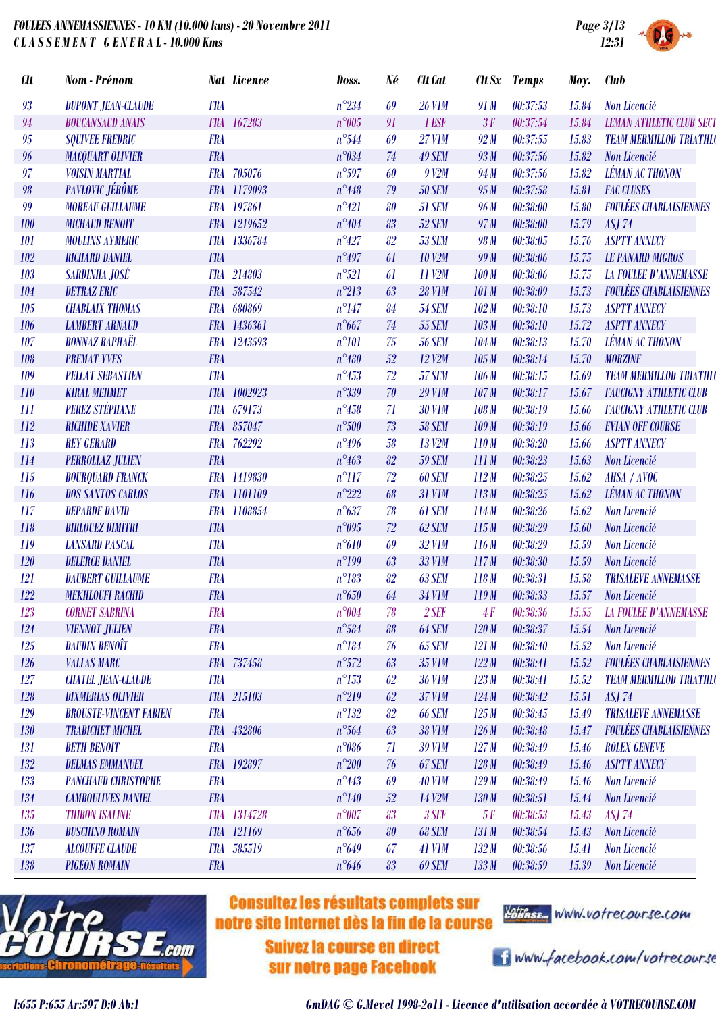

| e 3/13<br>12:31 | <b>SYSTEM</b> |  |
|-----------------|---------------|--|
| Club            |               |  |
|                 |               |  |

| <b>Clt</b> | Nom - Prénom                  |            | <b>Nat Licence</b> | Doss.          | Né | Clt Cat              |              | Clt Sx Temps | Moy.  | <b>Club</b>                     |
|------------|-------------------------------|------------|--------------------|----------------|----|----------------------|--------------|--------------|-------|---------------------------------|
| 93         | <b>DUPONT JEAN-CLAUDE</b>     | <b>FRA</b> |                    | $n^{\circ}234$ | 69 | <b>26 V1M</b>        | 91 M         | 00:37:53     | 15.84 | <b>Non Licencié</b>             |
| 94         | <b>BOUCANSAUD ANAIS</b>       |            | FRA 167283         | $n^{\circ}005$ | 91 | 1 ESF                | 3F           | 00:37:54     | 15.84 | <b>LEMAN ATHLETIC CLUB SECT</b> |
| 95         | <b>SQUIVEE FREDRIC</b>        | <b>FRA</b> |                    | $n^{\circ}544$ | 69 | <b>27 V1M</b>        | 92M          | 00:37:55     | 15.83 | <b>TEAM MERMILLOD TRIATHLO</b>  |
| 96         | <b>MACQUART OLIVIER</b>       | <b>FRA</b> |                    | $n^{\circ}034$ | 74 | <b>49 SEM</b>        | 93M          | 00:37:56     | 15.82 | Non Licencié                    |
| 97         | <b>VOISIN MARTIAL</b>         | <b>FRA</b> | 705076             | $n^{\circ}597$ | 60 | $9$ V <sub>2</sub> M | 94 M         | 00:37:56     | 15.82 | <b>LÉMAN AC THONON</b>          |
| 98         | PAVLOVIC JÉRÔME               |            | FRA 1179093        | $n^{\circ}448$ | 79 | <b>50 SEM</b>        | 95M          | 00:37:58     | 15.81 | <b>FAC CLUSES</b>               |
| 99         | <b>MOREAU GUILLAUME</b>       |            | FRA 197861         | $n^{\circ}421$ | 80 | <b>51 SEM</b>        | 96 M         | 00:38:00     | 15.80 | <b>FOULÉES CHABLAISIENNES</b>   |
| 100        | <b>MICHAUD BENOIT</b>         |            | FRA 1219652        | $n^{\circ}404$ | 83 | 52 SEM               | 97 M         | 00:38:00     | 15.79 | <b>ASJ 74</b>                   |
| 101        | <b>MOULINS AYMERIC</b>        |            | FRA 1336784        | $n^{\circ}427$ | 82 | <b>53 SEM</b>        | 98 M         | 00:38:05     | 15.76 | <b>ASPTT ANNECY</b>             |
| 102        | <b>RICHARD DANIEL</b>         | <b>FRA</b> |                    | $n^{\circ}497$ | 61 | <b>10 V2M</b>        | 99 M         | 00:38:06     | 15.75 | <b>LE PANARD MIGROS</b>         |
| 103        | SARDINHA JOSÉ                 | <b>FRA</b> | 214803             | $n^{\circ}521$ | 61 | 11 V2M               | 100M         | 00:38:06     | 15.75 | <b>LA FOULEE D'ANNEMASSE</b>    |
| 104        | <b>DETRAZ ERIC</b>            |            | FRA 587542         | $n^{\circ}213$ | 63 | <b>28 V1M</b>        | <b>101 M</b> | 00:38:09     | 15.73 | <b>FOULÉES CHABLAISIENNES</b>   |
| 105        | <b>CHABLAIX THOMAS</b>        | <b>FRA</b> | 680869             | $n^{\circ}147$ | 84 | <b>54 SEM</b>        | 102M         | 00:38:10     | 15.73 | <b>ASPTT ANNECY</b>             |
| 106        | <b>LAMBERT ARNAUD</b>         |            | FRA 1436361        | $n^{\circ}667$ | 74 | <b>55 SEM</b>        | 103 M        | 00:38:10     | 15.72 | <b>ASPTT ANNECY</b>             |
| 107        | <b>BONNAZ RAPHAËL</b>         |            | FRA 1243593        | $n^{\circ}101$ | 75 | <b>56 SEM</b>        | 104M         | 00:38:13     | 15.70 | <b>LÉMAN AC THONON</b>          |
| 108        | <b>PREMAT YVES</b>            | <b>FRA</b> |                    | $n^{\circ}480$ | 52 | 12 V2M               | 105M         | 00:38:14     | 15.70 | <b>MORZINE</b>                  |
| 109        | <b>PELCAT SEBASTIEN</b>       | <b>FRA</b> |                    | $n^{\circ}453$ | 72 | 57 SEM               | 106M         | 00:38:15     | 15.69 | <b>TEAM MERMILLOD TRIATHLO</b>  |
| 110        | <b>KIRAL MEHMET</b>           |            | FRA 1002923        | $n^{\circ}339$ | 70 | <b>29 V1M</b>        | 107M         | 00:38:17     | 15.67 | <b>FAUCIGNY ATHLETIC CLUB</b>   |
| 111        | <b>PEREZ STÉPHANE</b>         |            | FRA 679173         | $n^{\circ}458$ | 71 | <b>30 V1M</b>        | 108M         | 00:38:19     | 15.66 | <b>FAUCIGNY ATHLETIC CLUB</b>   |
| 112        | <b>RICHIDE XAVIER</b>         |            | FRA 857047         | $n^{\circ}500$ | 73 | <b>58 SEM</b>        | 109M         | 00:38:19     | 15.66 | <b>EVIAN OFF COURSE</b>         |
| 113        | <b>REY GERARD</b>             |            | FRA 762292         | $n^{\circ}496$ | 58 | <b>13 V2M</b>        | 110M         | 00:38:20     | 15.66 | <b>ASPTT ANNECY</b>             |
| 114        | <b>PERROLLAZ JULIEN</b>       | <b>FRA</b> |                    | $n^{\circ}463$ | 82 | <b>59 SEM</b>        | 111M         | 00:38:23     | 15.63 | Non Licencié                    |
| 115        | <b>BOURQUARD FRANCK</b>       |            | FRA 1419830        | $n^{\circ}117$ | 72 | <b>60 SEM</b>        | 112M         | 00:38:25     | 15.62 | <b>AHSA</b> / <b>AVOC</b>       |
| 116        | <b>DOS SANTOS CARLOS</b>      |            | FRA 1101109        | $n^{\circ}222$ | 68 | <b>31 V1M</b>        | 113M         | 00:38:25     | 15.62 | <b>LÉMAN AC THONON</b>          |
| 117        | <b>DEPARDE DAVID</b>          | <b>FRA</b> | 1108854            | $n^{\circ}637$ | 78 | 61 SEM               | 114M         | 00:38:26     | 15.62 | Non Licencié                    |
| 118        | <b>BIRLOUEZ DIMITRI</b>       | <b>FRA</b> |                    | $n^{\circ}095$ | 72 | 62 SEM               | 115M         | 00:38:29     | 15.60 | Non Licencié                    |
| 119        | <b>LANSARD PASCAL</b>         | <b>FRA</b> |                    | $n^{\circ}610$ | 69 | <b>32 V1M</b>        | 116M         | 00:38:29     | 15.59 | Non Licencié                    |
| 120        | <b>DELERCE DANIEL</b>         | <b>FRA</b> |                    | $n^{\circ}199$ | 63 | <b>33 V1M</b>        | 117M         | 00:38:30     | 15.59 | Non Licencié                    |
| 121        | <b>DAUBERT GUILLAUME</b>      | <b>FRA</b> |                    | $n^{\circ}183$ | 82 | 63 SEM               | 118M         | 00:38:31     | 15.58 | <b>TRISALEVE ANNEMASSE</b>      |
| 122        | <b>MEKHLOUFI RACHID</b>       | <b>FRA</b> |                    | $n^{\circ}650$ | 64 | <b>34 V1M</b>        | 119M         | 00:38:33     | 15.57 | Non Licencié                    |
| 123        | <b>CORNET SABRINA</b>         | <b>FRA</b> |                    | $n^{\circ}004$ | 78 | $2$ SEF              | 4F           | 00:38:36     | 15.55 | <b>LA FOULEE D'ANNEMASSE</b>    |
| 124        | <b>VIENNOT JULIEN</b>         | <b>FRA</b> |                    | $n^{\circ}584$ | 88 | 64 SEM               | 120M         | 00:38:37     | 15.54 | Non Licencié                    |
| 125        | <b>DAUDIN BENOÎT</b>          | <b>FRA</b> |                    | $n^{\circ}184$ | 76 | <b>65 SEM</b>        | 121M         | 00:38:40     | 15.52 | Non Licencié                    |
| 126        | <b>VALLAS MARC</b>            |            | FRA 737458         | $n^{\circ}572$ | 63 | 35 V1M               | 122M         | 00:38:41     | 15.52 | <b>FOULÉES CHABLAISIENNES</b>   |
| 127        | <b>CHATEL JEAN-CLAUDE</b>     | <b>FRA</b> |                    | $n^{\circ}153$ | 62 | <b>36 V1M</b>        | 123M         | 00:38:41     | 15.52 | <b>TEAM MERMILLOD TRIATHLO</b>  |
| 128        | <b>DIXMERIAS OLIVIER</b>      |            | FRA 215103         | $n^{\circ}219$ | 62 | 37 V1M               | 124M         | 00:38:42     | 15.51 | <b>ASJ 74</b>                   |
| 129        | <b>BROUSTE-VINCENT FABIEN</b> | <b>FRA</b> |                    | $n^{\circ}132$ | 82 | <b>66 SEM</b>        | 125M         | 00:38:45     | 15.49 | <b>TRISALEVE ANNEMASSE</b>      |
| 130        | <b>TRABICHET MICHEL</b>       |            | FRA 432806         | $n^{\circ}564$ | 63 | <b>38 V1M</b>        | 126M         | 00:38:48     | 15.47 | <b>FOULÉES CHABLAISIENNES</b>   |
| 131        | <b>BETH BENOIT</b>            | <b>FRA</b> |                    | $n^{\circ}086$ | 71 | <b>39 V1M</b>        | 127M         | 00:38:49     | 15.46 | <b>ROLEX GENEVE</b>             |
| 132        | <b>DELMAS EMMANUEL</b>        |            | FRA 192897         | $n^{\circ}200$ | 76 | 67 SEM               | 128M         | 00:38:49     | 15.46 | <b>ASPTT ANNECY</b>             |
| 133        | <b>PANCHAUD CHRISTOPHE</b>    | <b>FRA</b> |                    | $n^{\circ}443$ | 69 | <b>40 V1M</b>        | 129M         | 00:38:49     | 15.46 | Non Licencié                    |
| 134        | <b>CAMBOULIVES DANIEL</b>     | <b>FRA</b> |                    | $n^{\circ}140$ | 52 | 14 V2M               | 130M         | 00:38:51     | 15.44 | Non Licencié                    |
| 135        | <b>THIBON ISALINE</b>         |            | FRA 1314728        | $n^{\circ}007$ | 83 | 3 SEF                | 5F           | 00:38:53     | 15.43 | <b>ASJ 74</b>                   |
| 136        | <b>BUSCHINO ROMAIN</b>        |            | FRA 121169         | $n^{\circ}656$ | 80 | 68 SEM               | 131M         | 00:38:54     | 15.43 | Non Licencié                    |
| 137        | <b>ALCOUFFE CLAUDE</b>        |            | FRA 585519         | $n^{\circ}649$ | 67 | <b>41 V1M</b>        | 132M         | 00:38:56     | 15.41 | Non Licencié                    |
| 138        | <b>PIGEON ROMAIN</b>          | <b>FRA</b> |                    | $n^{\circ}646$ | 83 | <b>69 SEM</b>        | 133M         | 00:38:59     | 15.39 | Non Licencié                    |



# **Consultez les résultats complets sur** notre site Internet dès la fin de la course

Suivez la course en direct sur notre page Facebook



i www.facebook.com/votrecourse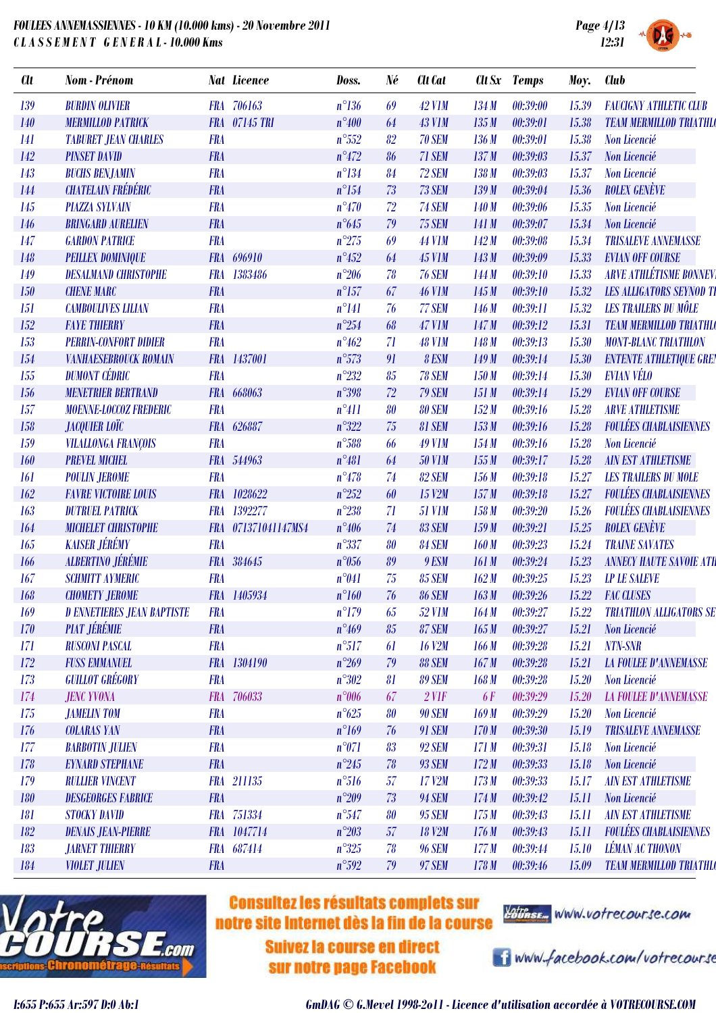

| <b>SYSTEM</b> |  |
|---------------|--|

| 139<br><b>BURDIN OLIVIER</b><br>FRA 706163<br>$n^{\circ}136$<br>69<br><b>42 V1M</b><br>134M<br>00:39:00<br>15.39<br>FRA 07145 TRI<br>00:39:01<br><b>140</b><br><b>MERMILLOD PATRICK</b><br>$n^{\circ}400$<br>64<br><b>43 V1M</b><br>135M<br>15.38<br><b>FRA</b><br>$n^{\circ}552$<br>82<br>00:39:01<br>141<br><b>TABURET JEAN CHARLES</b><br>70 SEM<br>136M<br>15.38<br>142<br><b>PINSET DAVID</b><br><b>FRA</b><br>$n^{\circ}472$<br>71 SEM<br>137M<br>86<br>00:39:03<br>15.37<br>$n^{\circ}134$<br>143<br><b>FRA</b><br>84<br>72 SEM<br>138M<br>00:39:03<br>15.37<br><b>BUCHS BENJAMIN</b><br><b>CHATELAIN FRÉDÉRIC</b><br><b>FRA</b><br>$n^{\circ}154$<br>73<br>73 SEM<br>144<br>139M<br>00:39:04<br>15.36<br>145<br><b>PIAZZA SYLVAIN</b><br><b>FRA</b><br>$n^{\circ}470$<br>72<br><b>74 SEM</b><br>140M<br>00:39:06<br>15.35<br>$n^{\circ}645$<br>00:39:07<br>146<br><b>BRINGARD AURELIEN</b><br><b>FRA</b><br>79<br><b>75 SEM</b><br>141 M<br>15.34<br>147<br><b>GARDON PATRICE</b><br><b>FRA</b><br>$n^{\circ}275$<br>69<br><b>44 V1M</b><br>142M<br>00:39:08<br>15.34<br>148<br><b>PEILLEX DOMINIQUE</b><br><b>FRA</b><br>696910<br>$n^{\circ}452$<br><b>45 V1M</b><br>143M<br>00:39:09<br>15.33<br>64<br><b>DESALMAND CHRISTOPHE</b><br>$n^{\circ}206$<br>78<br>00:39:10<br>149<br><b>FRA</b><br>1383486<br><b>76 SEM</b><br>144 M<br>15.33<br><b>CHENE MARC</b><br><b>FRA</b><br>$n^{\circ}157$<br>67<br><b>46 V1M</b><br>00:39:10<br>150<br>145 M<br>15.32<br><b>CAMBOULIVES LILIAN</b><br><b>FRA</b><br>$n^{\circ}141$<br>76<br>77 SEM<br>00:39:11<br>15.32<br>151<br>146 M<br><b>FAYE THIERRY</b><br>$n^{\circ}254$<br>152<br><b>FRA</b><br>68<br><b>47 V1M</b><br>147M<br>00:39:12<br>15.31<br>153<br><b>PERRIN-CONFORT DIDIER</b><br><b>FRA</b><br>$n^{\circ}462$<br>71<br><b>48 V1M</b><br>148 M<br>00:39:13<br>15.30 | <b>FAUGIGNY ATHLETIC CLUB</b><br><b>TEAM MERMILLOD TRIATHLO</b><br>Non Licencié<br>Non Licencié<br>Non Licencié<br><b>ROLEX GENÈVE</b><br>Non Licencié<br>Non Licencié<br><b>TRISALEVE ANNEMASSE</b><br><b>EVIAN OFF COURSE</b><br><b>ARVE ATHLÉTISME BONNEV</b><br><b>LES ALLIGATORS SEYNOD TI</b><br><b>LES TRAILERS DU MÔLE</b><br><b>TEAM MERMILLOD TRIATHLO</b><br><b>MONT-BLANC TRIATHLON</b><br><b>ENTENTE ATHLETIQUE GREN</b><br><b>EVIAN VÉLO</b> |
|---------------------------------------------------------------------------------------------------------------------------------------------------------------------------------------------------------------------------------------------------------------------------------------------------------------------------------------------------------------------------------------------------------------------------------------------------------------------------------------------------------------------------------------------------------------------------------------------------------------------------------------------------------------------------------------------------------------------------------------------------------------------------------------------------------------------------------------------------------------------------------------------------------------------------------------------------------------------------------------------------------------------------------------------------------------------------------------------------------------------------------------------------------------------------------------------------------------------------------------------------------------------------------------------------------------------------------------------------------------------------------------------------------------------------------------------------------------------------------------------------------------------------------------------------------------------------------------------------------------------------------------------------------------------------------------------------------------------------------------------------------------------------------------------------------------------------------------|------------------------------------------------------------------------------------------------------------------------------------------------------------------------------------------------------------------------------------------------------------------------------------------------------------------------------------------------------------------------------------------------------------------------------------------------------------|
|                                                                                                                                                                                                                                                                                                                                                                                                                                                                                                                                                                                                                                                                                                                                                                                                                                                                                                                                                                                                                                                                                                                                                                                                                                                                                                                                                                                                                                                                                                                                                                                                                                                                                                                                                                                                                                       |                                                                                                                                                                                                                                                                                                                                                                                                                                                            |
|                                                                                                                                                                                                                                                                                                                                                                                                                                                                                                                                                                                                                                                                                                                                                                                                                                                                                                                                                                                                                                                                                                                                                                                                                                                                                                                                                                                                                                                                                                                                                                                                                                                                                                                                                                                                                                       |                                                                                                                                                                                                                                                                                                                                                                                                                                                            |
|                                                                                                                                                                                                                                                                                                                                                                                                                                                                                                                                                                                                                                                                                                                                                                                                                                                                                                                                                                                                                                                                                                                                                                                                                                                                                                                                                                                                                                                                                                                                                                                                                                                                                                                                                                                                                                       |                                                                                                                                                                                                                                                                                                                                                                                                                                                            |
|                                                                                                                                                                                                                                                                                                                                                                                                                                                                                                                                                                                                                                                                                                                                                                                                                                                                                                                                                                                                                                                                                                                                                                                                                                                                                                                                                                                                                                                                                                                                                                                                                                                                                                                                                                                                                                       |                                                                                                                                                                                                                                                                                                                                                                                                                                                            |
|                                                                                                                                                                                                                                                                                                                                                                                                                                                                                                                                                                                                                                                                                                                                                                                                                                                                                                                                                                                                                                                                                                                                                                                                                                                                                                                                                                                                                                                                                                                                                                                                                                                                                                                                                                                                                                       |                                                                                                                                                                                                                                                                                                                                                                                                                                                            |
|                                                                                                                                                                                                                                                                                                                                                                                                                                                                                                                                                                                                                                                                                                                                                                                                                                                                                                                                                                                                                                                                                                                                                                                                                                                                                                                                                                                                                                                                                                                                                                                                                                                                                                                                                                                                                                       |                                                                                                                                                                                                                                                                                                                                                                                                                                                            |
|                                                                                                                                                                                                                                                                                                                                                                                                                                                                                                                                                                                                                                                                                                                                                                                                                                                                                                                                                                                                                                                                                                                                                                                                                                                                                                                                                                                                                                                                                                                                                                                                                                                                                                                                                                                                                                       |                                                                                                                                                                                                                                                                                                                                                                                                                                                            |
|                                                                                                                                                                                                                                                                                                                                                                                                                                                                                                                                                                                                                                                                                                                                                                                                                                                                                                                                                                                                                                                                                                                                                                                                                                                                                                                                                                                                                                                                                                                                                                                                                                                                                                                                                                                                                                       |                                                                                                                                                                                                                                                                                                                                                                                                                                                            |
|                                                                                                                                                                                                                                                                                                                                                                                                                                                                                                                                                                                                                                                                                                                                                                                                                                                                                                                                                                                                                                                                                                                                                                                                                                                                                                                                                                                                                                                                                                                                                                                                                                                                                                                                                                                                                                       |                                                                                                                                                                                                                                                                                                                                                                                                                                                            |
|                                                                                                                                                                                                                                                                                                                                                                                                                                                                                                                                                                                                                                                                                                                                                                                                                                                                                                                                                                                                                                                                                                                                                                                                                                                                                                                                                                                                                                                                                                                                                                                                                                                                                                                                                                                                                                       |                                                                                                                                                                                                                                                                                                                                                                                                                                                            |
|                                                                                                                                                                                                                                                                                                                                                                                                                                                                                                                                                                                                                                                                                                                                                                                                                                                                                                                                                                                                                                                                                                                                                                                                                                                                                                                                                                                                                                                                                                                                                                                                                                                                                                                                                                                                                                       |                                                                                                                                                                                                                                                                                                                                                                                                                                                            |
|                                                                                                                                                                                                                                                                                                                                                                                                                                                                                                                                                                                                                                                                                                                                                                                                                                                                                                                                                                                                                                                                                                                                                                                                                                                                                                                                                                                                                                                                                                                                                                                                                                                                                                                                                                                                                                       |                                                                                                                                                                                                                                                                                                                                                                                                                                                            |
|                                                                                                                                                                                                                                                                                                                                                                                                                                                                                                                                                                                                                                                                                                                                                                                                                                                                                                                                                                                                                                                                                                                                                                                                                                                                                                                                                                                                                                                                                                                                                                                                                                                                                                                                                                                                                                       |                                                                                                                                                                                                                                                                                                                                                                                                                                                            |
|                                                                                                                                                                                                                                                                                                                                                                                                                                                                                                                                                                                                                                                                                                                                                                                                                                                                                                                                                                                                                                                                                                                                                                                                                                                                                                                                                                                                                                                                                                                                                                                                                                                                                                                                                                                                                                       |                                                                                                                                                                                                                                                                                                                                                                                                                                                            |
|                                                                                                                                                                                                                                                                                                                                                                                                                                                                                                                                                                                                                                                                                                                                                                                                                                                                                                                                                                                                                                                                                                                                                                                                                                                                                                                                                                                                                                                                                                                                                                                                                                                                                                                                                                                                                                       |                                                                                                                                                                                                                                                                                                                                                                                                                                                            |
| $n^{\circ}573$<br>FRA 1437001<br>91<br>8 ESM<br>149M<br>00:39:14<br>154<br><b>VANHAESEBROUCK ROMAIN</b><br>15.30                                                                                                                                                                                                                                                                                                                                                                                                                                                                                                                                                                                                                                                                                                                                                                                                                                                                                                                                                                                                                                                                                                                                                                                                                                                                                                                                                                                                                                                                                                                                                                                                                                                                                                                      |                                                                                                                                                                                                                                                                                                                                                                                                                                                            |
| <b>DUMONT CÉDRIC</b><br>155<br><b>FRA</b><br>$n^{\circ}232$<br>85<br><b>78 SEM</b><br>00:39:14<br>15.30<br>150M                                                                                                                                                                                                                                                                                                                                                                                                                                                                                                                                                                                                                                                                                                                                                                                                                                                                                                                                                                                                                                                                                                                                                                                                                                                                                                                                                                                                                                                                                                                                                                                                                                                                                                                       |                                                                                                                                                                                                                                                                                                                                                                                                                                                            |
| <b>MENETRIER BERTRAND</b><br>FRA 668063<br>$n^{\circ}398$<br>72<br><b>79 SEM</b><br>00:39:14<br>151M<br>15.29<br>156                                                                                                                                                                                                                                                                                                                                                                                                                                                                                                                                                                                                                                                                                                                                                                                                                                                                                                                                                                                                                                                                                                                                                                                                                                                                                                                                                                                                                                                                                                                                                                                                                                                                                                                  | <b>EVIAN OFF COURSE</b>                                                                                                                                                                                                                                                                                                                                                                                                                                    |
| <b>FRA</b><br>157<br>MOENNE-LOCCOZ FREDERIC<br>$n^{\circ}411$<br><b>80 SEM</b><br>152M<br>00:39:16<br>15.28<br>80                                                                                                                                                                                                                                                                                                                                                                                                                                                                                                                                                                                                                                                                                                                                                                                                                                                                                                                                                                                                                                                                                                                                                                                                                                                                                                                                                                                                                                                                                                                                                                                                                                                                                                                     | <b>ARVE ATHLETISME</b>                                                                                                                                                                                                                                                                                                                                                                                                                                     |
| <b>JACQUIER LOÏC</b><br>$n^{\circ}322$<br>75<br>00:39:16<br>158<br><b>FRA</b><br>626887<br>81 SEM<br>153M<br>15.28                                                                                                                                                                                                                                                                                                                                                                                                                                                                                                                                                                                                                                                                                                                                                                                                                                                                                                                                                                                                                                                                                                                                                                                                                                                                                                                                                                                                                                                                                                                                                                                                                                                                                                                    | <b>FOULÉES CHABLAISIENNES</b>                                                                                                                                                                                                                                                                                                                                                                                                                              |
| <b>FRA</b><br>159<br><b>VILALLONGA FRANÇOIS</b><br>$n^{\circ}588$<br><b>49 V1M</b><br>00:39:16<br>15.28<br>154M<br>66                                                                                                                                                                                                                                                                                                                                                                                                                                                                                                                                                                                                                                                                                                                                                                                                                                                                                                                                                                                                                                                                                                                                                                                                                                                                                                                                                                                                                                                                                                                                                                                                                                                                                                                 | Non Licencié                                                                                                                                                                                                                                                                                                                                                                                                                                               |
| <b>PREVEL MICHEL</b><br>FRA 544963<br>$n^{\circ}481$<br><b>50 V1M</b><br>155M<br>00:39:17<br>160<br>64<br>15.28                                                                                                                                                                                                                                                                                                                                                                                                                                                                                                                                                                                                                                                                                                                                                                                                                                                                                                                                                                                                                                                                                                                                                                                                                                                                                                                                                                                                                                                                                                                                                                                                                                                                                                                       | <b>AIN EST ATHLETISME</b>                                                                                                                                                                                                                                                                                                                                                                                                                                  |
| <b>FRA</b><br>$n^{\circ}478$<br>74<br>82 SEM<br>00:39:18<br><b>POULIN JEROME</b><br>156M<br>15.27<br><i><b>161</b></i>                                                                                                                                                                                                                                                                                                                                                                                                                                                                                                                                                                                                                                                                                                                                                                                                                                                                                                                                                                                                                                                                                                                                                                                                                                                                                                                                                                                                                                                                                                                                                                                                                                                                                                                | <b>LES TRAILERS DU MOLE</b>                                                                                                                                                                                                                                                                                                                                                                                                                                |
| FRA 1028622<br>$n^{\circ}252$<br>15 V2M<br>157M<br>00:39:18<br>15.27<br>162<br><b>FAVRE VICTOIRE LOUIS</b><br>60                                                                                                                                                                                                                                                                                                                                                                                                                                                                                                                                                                                                                                                                                                                                                                                                                                                                                                                                                                                                                                                                                                                                                                                                                                                                                                                                                                                                                                                                                                                                                                                                                                                                                                                      | <b>FOULÉES CHABLAISIENNES</b>                                                                                                                                                                                                                                                                                                                                                                                                                              |
| $n^{\circ}238$<br>163<br><b>DUTRUEL PATRICK</b><br><b>FRA</b><br>1392277<br>71<br>00:39:20<br>15.26<br><b>51 V1M</b><br>158M                                                                                                                                                                                                                                                                                                                                                                                                                                                                                                                                                                                                                                                                                                                                                                                                                                                                                                                                                                                                                                                                                                                                                                                                                                                                                                                                                                                                                                                                                                                                                                                                                                                                                                          | <b>FOULÉES CHABLAISIENNES</b>                                                                                                                                                                                                                                                                                                                                                                                                                              |
| $n^{\circ}406$<br>74<br>00:39:21<br><b>MICHELET CHRISTOPHE</b><br>FRA 071371041147MS4<br>83 SEM<br>159M<br>15.25<br>164                                                                                                                                                                                                                                                                                                                                                                                                                                                                                                                                                                                                                                                                                                                                                                                                                                                                                                                                                                                                                                                                                                                                                                                                                                                                                                                                                                                                                                                                                                                                                                                                                                                                                                               | <b>ROLEX GENÈVE</b>                                                                                                                                                                                                                                                                                                                                                                                                                                        |
| <b>KAISER JÉRÉMY</b><br>165<br><b>FRA</b><br>$n^{\circ}337$<br>80<br>84 SEM<br>00:39:23<br>15.24<br>160M                                                                                                                                                                                                                                                                                                                                                                                                                                                                                                                                                                                                                                                                                                                                                                                                                                                                                                                                                                                                                                                                                                                                                                                                                                                                                                                                                                                                                                                                                                                                                                                                                                                                                                                              | <b>TRAINE SAVATES</b>                                                                                                                                                                                                                                                                                                                                                                                                                                      |
| <b>ALBERTINO JÉRÉMIE</b><br><b>FRA</b><br>384645<br>$n^{\circ}056$<br>89<br>9 ESM<br>161 M<br>00:39:24<br>166<br>15.23                                                                                                                                                                                                                                                                                                                                                                                                                                                                                                                                                                                                                                                                                                                                                                                                                                                                                                                                                                                                                                                                                                                                                                                                                                                                                                                                                                                                                                                                                                                                                                                                                                                                                                                | <b>ANNECY HAUTE SAVOIE ATH</b>                                                                                                                                                                                                                                                                                                                                                                                                                             |
| <b>SCHMITT AYMERIC</b><br><b>FRA</b><br>$n^{\circ}041$<br>00:39:25<br>167<br>75<br><b>85 SEM</b><br>162M<br>15.23                                                                                                                                                                                                                                                                                                                                                                                                                                                                                                                                                                                                                                                                                                                                                                                                                                                                                                                                                                                                                                                                                                                                                                                                                                                                                                                                                                                                                                                                                                                                                                                                                                                                                                                     | <b>LP LE SALEVE</b>                                                                                                                                                                                                                                                                                                                                                                                                                                        |
| 76<br><b>CHOMETY JEROME</b><br>FRA 1405934<br>$n^{\circ}160$<br><b>86 SEM</b><br>163M<br>00:39:26<br>15.22<br>168                                                                                                                                                                                                                                                                                                                                                                                                                                                                                                                                                                                                                                                                                                                                                                                                                                                                                                                                                                                                                                                                                                                                                                                                                                                                                                                                                                                                                                                                                                                                                                                                                                                                                                                     | <b>FAC CLUSES</b>                                                                                                                                                                                                                                                                                                                                                                                                                                          |
| $n^{\circ}179$<br><b>D ENNETIERES JEAN BAPTISTE</b><br>00:39:27<br>169<br><b>FRA</b><br>65<br><b>52 V1M</b><br>164M<br>15.22                                                                                                                                                                                                                                                                                                                                                                                                                                                                                                                                                                                                                                                                                                                                                                                                                                                                                                                                                                                                                                                                                                                                                                                                                                                                                                                                                                                                                                                                                                                                                                                                                                                                                                          | <b>TRIATHLON ALLIGATORS SE</b>                                                                                                                                                                                                                                                                                                                                                                                                                             |
| <b>PIAT JÉRÉMIE</b><br><b>FRA</b><br>$n^{\circ}469$<br>87 SEM<br>165M<br>00:39:27<br>15.21<br>170<br>85                                                                                                                                                                                                                                                                                                                                                                                                                                                                                                                                                                                                                                                                                                                                                                                                                                                                                                                                                                                                                                                                                                                                                                                                                                                                                                                                                                                                                                                                                                                                                                                                                                                                                                                               | Non Licencié                                                                                                                                                                                                                                                                                                                                                                                                                                               |
| $n^{\circ}517$<br>171<br><b>FRA</b><br><b>16 V2M</b><br><b>RUSCONI PASCAL</b><br>61<br>166M<br>00:39:28<br>15.21                                                                                                                                                                                                                                                                                                                                                                                                                                                                                                                                                                                                                                                                                                                                                                                                                                                                                                                                                                                                                                                                                                                                                                                                                                                                                                                                                                                                                                                                                                                                                                                                                                                                                                                      | NTN-SNR                                                                                                                                                                                                                                                                                                                                                                                                                                                    |
| FRA 1304190<br>172<br><b>FUSS EMMANUEL</b><br>$n^{\circ}269$<br>79<br>88 SEM<br>167M<br>00:39:28<br>15.21                                                                                                                                                                                                                                                                                                                                                                                                                                                                                                                                                                                                                                                                                                                                                                                                                                                                                                                                                                                                                                                                                                                                                                                                                                                                                                                                                                                                                                                                                                                                                                                                                                                                                                                             | <b>LA FOULEE D'ANNEMASSE</b>                                                                                                                                                                                                                                                                                                                                                                                                                               |
| <b>GUILLOT GRÉGORY</b><br><b>FRA</b><br>$n^{\circ}302$<br>173<br>81<br><b>89 SEM</b><br>168M<br>00:39:28<br>15.20                                                                                                                                                                                                                                                                                                                                                                                                                                                                                                                                                                                                                                                                                                                                                                                                                                                                                                                                                                                                                                                                                                                                                                                                                                                                                                                                                                                                                                                                                                                                                                                                                                                                                                                     | Non Licencié                                                                                                                                                                                                                                                                                                                                                                                                                                               |
| 174<br><b>JENC YVONA</b><br>FRA 706033<br>$2$ V1F<br>$n^{\circ}006$<br>67<br><b>6F</b><br>00:39:29<br>15.20                                                                                                                                                                                                                                                                                                                                                                                                                                                                                                                                                                                                                                                                                                                                                                                                                                                                                                                                                                                                                                                                                                                                                                                                                                                                                                                                                                                                                                                                                                                                                                                                                                                                                                                           | <b>LA FOULEE D'ANNEMASSE</b>                                                                                                                                                                                                                                                                                                                                                                                                                               |
| <b>FRA</b><br>$n^{\circ}625$<br>175<br><b>JAMELIN TOM</b><br>80<br><b>90 SEM</b><br>169M<br>00:39:29<br>15.20                                                                                                                                                                                                                                                                                                                                                                                                                                                                                                                                                                                                                                                                                                                                                                                                                                                                                                                                                                                                                                                                                                                                                                                                                                                                                                                                                                                                                                                                                                                                                                                                                                                                                                                         | Non Licencié                                                                                                                                                                                                                                                                                                                                                                                                                                               |
| <b>FRA</b><br>$n^{\circ}169$<br><b>COLARAS YAN</b><br><b>91 SEM</b><br>170M<br>00:39:30<br>176<br>76<br>15.19                                                                                                                                                                                                                                                                                                                                                                                                                                                                                                                                                                                                                                                                                                                                                                                                                                                                                                                                                                                                                                                                                                                                                                                                                                                                                                                                                                                                                                                                                                                                                                                                                                                                                                                         | <b>TRISALEVE ANNEMASSE</b>                                                                                                                                                                                                                                                                                                                                                                                                                                 |
| 177<br><b>BARBOTIN JULIEN</b><br><b>FRA</b><br>$n^{\circ}071$<br><b>92 SEM</b><br>171M<br>00:39:31<br>83<br>15.18                                                                                                                                                                                                                                                                                                                                                                                                                                                                                                                                                                                                                                                                                                                                                                                                                                                                                                                                                                                                                                                                                                                                                                                                                                                                                                                                                                                                                                                                                                                                                                                                                                                                                                                     | Non Licencié                                                                                                                                                                                                                                                                                                                                                                                                                                               |
| <b>FRA</b><br>178<br>$n^{\circ}245$<br>78<br><b>93 SEM</b><br>172M<br><b>EYNARD STEPHANE</b><br>00:39:33<br>15.18                                                                                                                                                                                                                                                                                                                                                                                                                                                                                                                                                                                                                                                                                                                                                                                                                                                                                                                                                                                                                                                                                                                                                                                                                                                                                                                                                                                                                                                                                                                                                                                                                                                                                                                     | Non Licencié                                                                                                                                                                                                                                                                                                                                                                                                                                               |
| FRA 211135<br>179<br><b>RULLIER VINCENT</b><br>$n^{\circ}516$<br>57<br>17 V2M<br>00:39:33<br>173M<br>15.17                                                                                                                                                                                                                                                                                                                                                                                                                                                                                                                                                                                                                                                                                                                                                                                                                                                                                                                                                                                                                                                                                                                                                                                                                                                                                                                                                                                                                                                                                                                                                                                                                                                                                                                            | <b>AIN EST ATHLETISME</b>                                                                                                                                                                                                                                                                                                                                                                                                                                  |
| 180<br><b>DESGEORGES FABRICE</b><br><b>FRA</b><br>$n^{\circ}209$<br>73<br><b>94 SEM</b><br>174M<br>00:39:42<br>15.11                                                                                                                                                                                                                                                                                                                                                                                                                                                                                                                                                                                                                                                                                                                                                                                                                                                                                                                                                                                                                                                                                                                                                                                                                                                                                                                                                                                                                                                                                                                                                                                                                                                                                                                  | Non Licencié                                                                                                                                                                                                                                                                                                                                                                                                                                               |
| FRA 751334<br>$n^{\circ}547$<br>181<br><b>STOCKY DAVID</b><br><b>95 SEM</b><br>175M<br>00:39:43<br>80<br>15.11                                                                                                                                                                                                                                                                                                                                                                                                                                                                                                                                                                                                                                                                                                                                                                                                                                                                                                                                                                                                                                                                                                                                                                                                                                                                                                                                                                                                                                                                                                                                                                                                                                                                                                                        | <b>AIN EST ATHLETISME</b>                                                                                                                                                                                                                                                                                                                                                                                                                                  |
| FRA 1047714<br><b>DENAIS JEAN-PIERRE</b><br>$n^{\circ}203$<br>57<br><b>18 V2M</b><br>176M<br>00:39:43<br>182<br>15.11                                                                                                                                                                                                                                                                                                                                                                                                                                                                                                                                                                                                                                                                                                                                                                                                                                                                                                                                                                                                                                                                                                                                                                                                                                                                                                                                                                                                                                                                                                                                                                                                                                                                                                                 | <b>FOULÉES CHABLAISIENNES</b>                                                                                                                                                                                                                                                                                                                                                                                                                              |
| FRA 687414<br>183<br>$n^{\circ}325$<br>177M<br>15.10<br><b>JARNET THIERRY</b><br>78<br><b>96 SEM</b><br>00:39:44                                                                                                                                                                                                                                                                                                                                                                                                                                                                                                                                                                                                                                                                                                                                                                                                                                                                                                                                                                                                                                                                                                                                                                                                                                                                                                                                                                                                                                                                                                                                                                                                                                                                                                                      | <b>LÉMAN AC THONON</b>                                                                                                                                                                                                                                                                                                                                                                                                                                     |
| <b>FRA</b><br>184<br><b>VIOLET JULIEN</b><br><b>97 SEM</b><br>178M<br>$n^{\circ}592$<br>79<br>00:39:46<br>15.09                                                                                                                                                                                                                                                                                                                                                                                                                                                                                                                                                                                                                                                                                                                                                                                                                                                                                                                                                                                                                                                                                                                                                                                                                                                                                                                                                                                                                                                                                                                                                                                                                                                                                                                       | <b>TEAM MERMILLOD TRIATHLO</b>                                                                                                                                                                                                                                                                                                                                                                                                                             |



### **Consultez les résultats complets sur** notre site Internet dès la fin de la course

**Suivez la course en direct** sur notre page Facebook

estinse, www.votrecourse.com

i www.facebook.com/votrecourse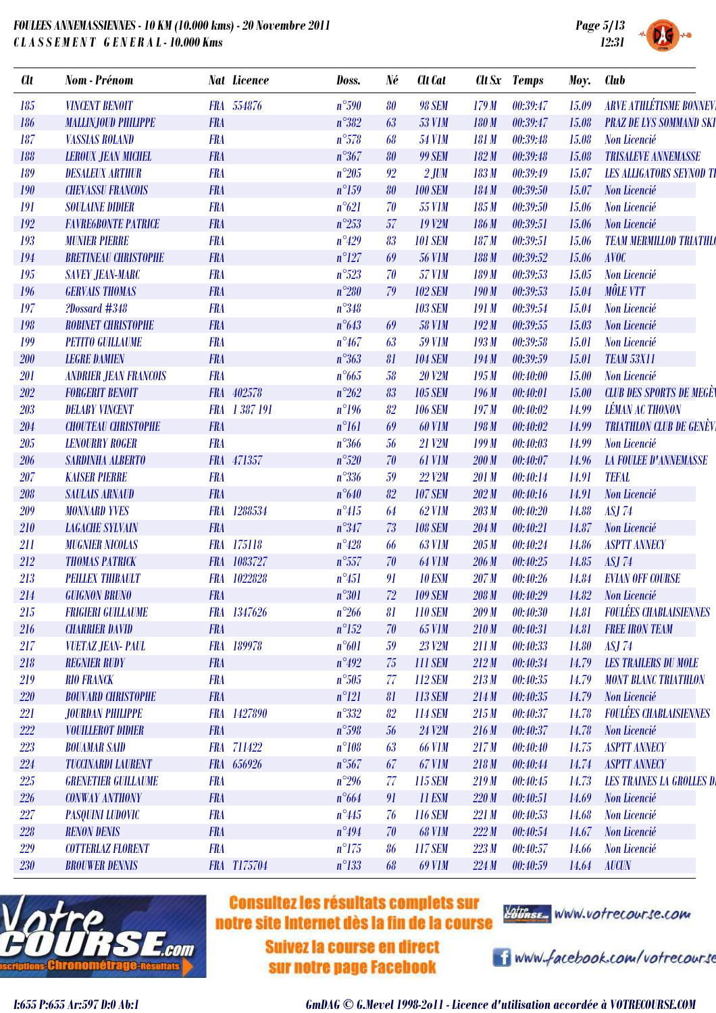

|  | SYSTEM |  |
|--|--------|--|

| <b>Clt</b> | Nom - Prénom                 |            | <b>Nat Licence</b> | Doss.          | Né | <b>Clt</b> Cat |       | Clt Sx Temps | Moy.         | <b>Club</b>                      |
|------------|------------------------------|------------|--------------------|----------------|----|----------------|-------|--------------|--------------|----------------------------------|
| 185        | <b>VINCENT BENOIT</b>        |            | FRA 554876         | $n^{\circ}590$ | 80 | <b>98 SEM</b>  | 179M  | 00:39:47     | 15.09        | <b>ARVE ATHLÉTISME BONNEV</b>    |
| 186        | <b>MALLINJOUD PHILIPPE</b>   | <b>FRA</b> |                    | $n^{\circ}382$ | 63 | <b>53 V1M</b>  | 180 M | 00:39:47     | 15.08        | <b>PRAZ DE LYS SOMMAND SKI</b>   |
| 187        | <b>VASSIAS ROLAND</b>        | <b>FRA</b> |                    | $n^{\circ}578$ | 68 | <b>54 V1M</b>  | 181 M | 00:39:48     | 15.08        | Non Licencié                     |
| 188        | <b>LEROUX JEAN MICHEL</b>    | <b>FRA</b> |                    | $n^{\circ}367$ | 80 | <b>99 SEM</b>  | 182M  | 00:39:48     | 15.08        | <b>TRISALEVE ANNEMASSE</b>       |
| 189        | <b>DESALEUX ARTHUR</b>       | <b>FRA</b> |                    | $n^{\circ}205$ | 92 | $2$ JUM        | 183 M | 00:39:49     | 15.07        | <b>LES ALLIGATORS SEYNOD TI</b>  |
| 190        | <b>CHEVASSU FRANCOIS</b>     | <b>FRA</b> |                    | $n^{\circ}159$ | 80 | <b>100 SEM</b> | 184M  | 00:39:50     | 15.07        | Non Licencié                     |
| 191        | <b>SOULAINE DIDIER</b>       | <b>FRA</b> |                    | $n^{\circ}621$ | 70 | <b>55 V1M</b>  | 185M  | 00:39:50     | 15.06        | Non Licencié                     |
| 192        | <b>FAVRE6BONTE PATRICE</b>   | <b>FRA</b> |                    | $n^{\circ}253$ | 57 | <b>19 V2M</b>  | 186M  | 00:39:51     | 15.06        | Non Licencié                     |
| 193        | <b>MUNIER PIERRE</b>         | <b>FRA</b> |                    | $n^{\circ}429$ | 83 | <b>101 SEM</b> | 187M  | 00:39:51     | 15.06        | <b>TEAM MERMILLOD TRIATHLO</b>   |
| 194        | <b>BRETINEAU CHRISTOPHE</b>  | <b>FRA</b> |                    | $n^{\circ}127$ | 69 | <b>56 V1M</b>  | 188M  | 00:39:52     | 15.06        | <b>AVOC</b>                      |
| 195        | <b>SAVEY JEAN-MARC</b>       | <b>FRA</b> |                    | $n^{\circ}523$ | 70 | <b>57 V1M</b>  | 189 M | 00:39:53     | 15.05        | Non Licencié                     |
| 196        | <b>GERVAIS THOMAS</b>        | <b>FRA</b> |                    | $n^{\circ}280$ | 79 | <b>102 SEM</b> | 190M  | 00:39:53     | 15.04        | <b>MÔLE VTT</b>                  |
| 197        | ?Dossard #348                | <b>FRA</b> |                    | $n^{\circ}348$ |    | <b>103 SEM</b> | 191M  | 00:39:54     | 15.04        | Non Licencié                     |
| 198        | <b>ROBINET CHRISTOPHE</b>    | <b>FRA</b> |                    | $n^{\circ}643$ | 69 | <b>58 V1M</b>  | 192M  | 00:39:55     | 15.03        | Non Licencié                     |
| 199        | <b>PETITO GUILLAUME</b>      | <b>FRA</b> |                    | $n^{\circ}467$ | 63 | <b>59 V1M</b>  | 193M  | 00:39:58     | 15.01        | Non Licencié                     |
| 200        | <b>LEGRE DAMIEN</b>          | <b>FRA</b> |                    | $n^{\circ}363$ | 81 | <b>104 SEM</b> | 194M  | 00:39:59     | 15.01        | <b>TEAM 53X11</b>                |
| 201        | <b>ANDRIER JEAN FRANCOIS</b> | <b>FRA</b> |                    | $n^{\circ}665$ | 58 | <b>20 V2M</b>  | 195M  | 0.40:00      | 15.00        | Non Licencié                     |
| 202        | <b>FORGERIT BENOIT</b>       |            | FRA 402578         | $n^{\circ}262$ | 83 | <b>105 SEM</b> | 196M  | 00:40:01     | 15.00        | <b>CLUB DES SPORTS DE MEGÈN</b>  |
| 203        | <b>DELABY VINCENT</b>        |            | FRA 1387191        | $n^{\circ}196$ | 82 | <b>106 SEM</b> | 197M  | 00:40:02     | 14.99        | <b>LÉMAN AC THONON</b>           |
| 204        | <b>CHOUTEAU CHRISTOPHE</b>   | <b>FRA</b> |                    | $n^{\circ}161$ | 69 | <b>60 V1M</b>  | 198 M | 00:40:02     | 14.99        | <b>TRIATHLON CLUB DE GENÈVI</b>  |
| 205        | <b>LENOURRY ROGER</b>        | <b>FRA</b> |                    | $n^{\circ}366$ | 56 | 21 V2M         | 199M  | 00:40:03     | 14.99        | Non Licencié                     |
| 206        | <b>SARDINHA ALBERTO</b>      |            | FRA 471357         | $n^{\circ}520$ | 70 | 61 V1M         | 200M  | 00:40:07     | 14.96        | <b>LA FOULEE D'ANNEMASSE</b>     |
| 207        | <b>KAISER PIERRE</b>         | <b>FRA</b> |                    | $n^{\circ}336$ | 59 | <b>22 V2M</b>  | 201 M | 00:40:14     | 14.91        | <b>TEFAL</b>                     |
| 208        | <b>SAULAIS ARNAUD</b>        | <b>FRA</b> |                    | $n^{\circ}640$ | 82 | <b>107 SEM</b> | 202M  | 00:40:16     | 14.91        | Non Licencié                     |
| 209        | <b>MONNARD YVES</b>          | <b>FRA</b> | 1288534            | $n^{\circ}415$ | 64 | <b>62 V1M</b>  | 203M  | 00:40:20     | 14.88        | <b>ASJ 74</b>                    |
| 210        | <b>LAGACHE SYLVAIN</b>       | <b>FRA</b> |                    | $n^{\circ}347$ | 73 | <b>108 SEM</b> | 204M  | 00:40:21     | 14.87        | Non Licencié                     |
| 211        | <b>MUGNIER NICOLAS</b>       |            | FRA 175118         | $n^{\circ}428$ | 66 | <b>63 V1M</b>  | 205M  | 00:40:24     | 14.86        | <b>ASPTT ANNECY</b>              |
| 212        | <b>THOMAS PATRICK</b>        |            | FRA 1083727        | $n^{\circ}557$ | 70 | <b>64 V1M</b>  | 206M  | 00:40:25     | 14.85        | <b>ASJ 74</b>                    |
| 213        | <b>PEILLEX THIBAULT</b>      |            | FRA 1022828        | $n^{\circ}451$ | 91 | <b>10 ESM</b>  | 207M  | 00:40:26     | 14.84        | <b>EVIAN OFF COURSE</b>          |
| 214        | <b>GUIGNON BRUNO</b>         | <b>FRA</b> |                    | $n^{\circ}301$ | 72 | <b>109 SEM</b> | 208 M | 00:40:29     | 14.82        | Non Licencié                     |
| 215        | <b>FRIGIERI GUILLAUME</b>    |            | FRA 1347626        | $n^{\circ}266$ | 81 | <b>110 SEM</b> | 209 M | 00:40:30     | <i>14.81</i> | <b>FOULÉES CHABLAISIENNES</b>    |
| <b>216</b> | <b>CHARRIER DAVID</b>        | <b>FRA</b> |                    | $n^{\circ}152$ | 70 | <b>65 V1M</b>  | 210M  | 00:40:31     | 14.81        | <b>FREE IRON TEAM</b>            |
| 217        | <b>VUETAZ JEAN- PAUL</b>     |            | FRA 189978         | $n^{\circ}601$ | 59 | 23 V2M         | 211M  | 00:40:33     | 14.80        | ASJ <sub>74</sub>                |
| 218        | <b>REGNIER RUDY</b>          | <b>FRA</b> |                    | $n^{\circ}492$ | 75 | <b>111 SEM</b> | 212M  | 00:40:34     | 14.79        | <b>LES TRAILERS DU MOLE</b>      |
| 219        | <b>RIO FRANCK</b>            | <b>FRA</b> |                    | $n^{\circ}505$ | 77 | <b>112 SEM</b> | 213M  | 00:40:35     | 14.79        | <b>MONT BLANC TRIATHLON</b>      |
| <b>220</b> | <b>BOUVARD CHRISTOPHE</b>    | <b>FRA</b> |                    | $n^{\circ}121$ | 81 | 113 SEM        | 214M  | 00:40:35     | 14.79        | Non Licencié                     |
| 221        | <b>JOURDAN PHILIPPE</b>      |            | FRA 1427890        | $n^{\circ}332$ | 82 | <b>114 SEM</b> | 215M  | 00:40:37     | 14.78        | <b>FOULÉES CHABLAISIENNES</b>    |
| 222        | <b>VOUILLEROT DIDIER</b>     | <b>FRA</b> |                    | $n^{\circ}598$ | 56 | 24 V2M         | 216M  | 00:40:37     | 14.78        | Non Licencié                     |
| 223        | <b>BOUAMAR SAID</b>          |            | FRA 711422         | $n^{\circ}108$ | 63 | <b>66 V1M</b>  | 217M  | 00:40:40     | 14.75        | <b>ASPTT ANNECY</b>              |
| 224        | <b>TUCCINARDI LAURENT</b>    |            | FRA 656926         | $n^{\circ}567$ | 67 | 67 V1M         | 218M  | 00:40:44     | 14.74        | <b>ASPTT ANNECY</b>              |
| 225        | <b>GRENETIER GUILLAUME</b>   | <b>FRA</b> |                    | $n^{\circ}296$ | 77 | 115 SEM        | 219M  | 00:40:45     | 14.73        | <b>LES TRAINES LA GROLLES DI</b> |
| <b>226</b> | <b>CONWAY ANTHONY</b>        | <b>FRA</b> |                    | $n^{\circ}664$ | 91 | <b>11 ESM</b>  | 220M  | 00:40:51     | 14.69        | Non Licencié                     |
| 227        | <b>PASQUINI LUDOVIC</b>      | <b>FRA</b> |                    | $n^{\circ}445$ | 76 | <b>116 SEM</b> | 221M  | 00:40:53     | 14.68        | Non Licencié                     |
| 228        | <b>RENON DENIS</b>           | <b>FRA</b> |                    | $n^{\circ}494$ | 70 | <b>68 V1M</b>  | 222M  | 00:40:54     | 14.67        | Non Licencié                     |
| 229        | <b>COTTERLAZ FLORENT</b>     | <b>FRA</b> |                    | $n^{\circ}175$ | 86 | <b>117 SEM</b> | 223M  | 00:40:57     | 14.66        | Non Licencié                     |
| <b>230</b> | <b>BROUWER DENNIS</b>        |            | FRA T175704        | $n^{\circ}133$ | 68 | <b>69 V1M</b>  | 224M  | 00:40:59     | 14.64        | <b>AUCUN</b>                     |
|            |                              |            |                    |                |    |                |       |              |              |                                  |



# **Consultez les résultats complets sur** notre site Internet dès la fin de la course

**Suivez la course en direct** sur notre page Facebook



i www.facebook.com/votrecourse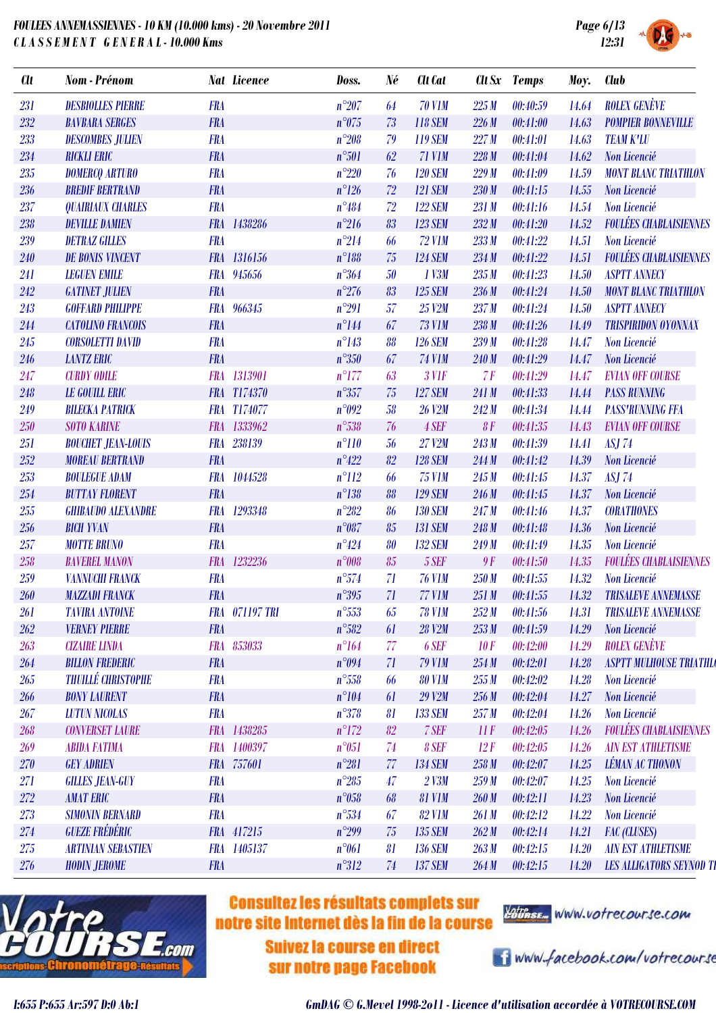

| <b>SYSTEM</b> |  |
|---------------|--|

| <b>Clt</b> | Nom - Prénom              |            | <b>Nat Licence</b> | Doss.          | Né | <b>Clt</b> Cat | Clt Sx           | <b>Temps</b> | Moy.  | <b>Club</b>                     |
|------------|---------------------------|------------|--------------------|----------------|----|----------------|------------------|--------------|-------|---------------------------------|
| 231        | <b>DESBIOLLES PIERRE</b>  | <b>FRA</b> |                    | $n^{\circ}207$ | 64 | <b>70 V1M</b>  | 225M             | 00:40:59     | 14.64 | <b>ROLEX GENÈVE</b>             |
| 232        | <b>BAVBARA SERGES</b>     | <b>FRA</b> |                    | $n^{\circ}075$ | 73 | <b>118 SEM</b> | 226M             | 00:41:00     | 14.63 | <b>POMPIER BONNEVILLE</b>       |
| 233        | <b>DESCOMBES JULIEN</b>   | <b>FRA</b> |                    | $n^{\circ}208$ | 79 | <b>119 SEM</b> | 227M             | 00:41:01     | 14.63 | <b>TEAM K'LU</b>                |
| 234        | <b>RICKLI ERIC</b>        | <b>FRA</b> |                    | $n^{\circ}501$ | 62 | 71 V1M         | 228M             | 00:41:04     | 14.62 | Non Licencié                    |
| 235        | <b>DOMERCQ ARTURO</b>     | <b>FRA</b> |                    | $n^{\circ}220$ | 76 | <b>120 SEM</b> | 229M             | 00:41:09     | 14.59 | <b>MONT BLANC TRIATHLON</b>     |
| 236        | <b>BREDIF BERTRAND</b>    | <b>FRA</b> |                    | $n^{\circ}126$ | 72 | <b>121 SEM</b> | 230M             | 00:41:15     | 14.55 | Non Licencié                    |
| 237        | <b>QUAIRIAUX CHARLES</b>  | <b>FRA</b> |                    | $n^{\circ}484$ | 72 | <b>122 SEM</b> | 231 M            | 00:41:16     | 14.54 | Non Licencié                    |
| 238        | <b>DEVILLE DAMIEN</b>     |            | FRA 1438286        | $n^{\circ}216$ | 83 | <b>123 SEM</b> | 232M             | 00:41:20     | 14.52 | <b>FOULÉES CHABLAISIENNES</b>   |
| 239        | <b>DETRAZ GILLES</b>      | <b>FRA</b> |                    | $n^{\circ}214$ | 66 | <b>72 V1M</b>  | 233M             | 00:41:22     | 14.51 | Non Licencié                    |
| 240        | <b>DE BONIS VINCENT</b>   |            | FRA 1316156        | $n^{\circ}188$ | 75 | <b>124 SEM</b> | 234M             | 00:41:22     | 14.51 | <b>FOULÉES CHABLAISIENNES</b>   |
| 241        | <b>LEGUEN EMILE</b>       |            | FRA 945656         | $n^{\circ}364$ | 50 | 1 V3M          | 235M             | 00:41:23     | 14.50 | <b>ASPTT ANNECY</b>             |
| 242        | <b>GATINET JULIEN</b>     | <b>FRA</b> |                    | $n^{\circ}276$ | 83 | <b>125 SEM</b> | 236M             | 00:41:24     | 14.50 | <b>MONT BLANC TRIATHLON</b>     |
| 243        | <b>GOFFARD PHILIPPE</b>   |            | FRA 966345         | $n^{\circ}291$ | 57 | 25 V2M         | 237M             | 00:41:24     | 14.50 | <b>ASPTT ANNECY</b>             |
| 244        | <b>CATOLINO FRANCOIS</b>  | <b>FRA</b> |                    | $n^{\circ}144$ | 67 | <b>73 V1M</b>  | 238M             | 00:41:26     | 14.49 | <b>TRISPIRIDON OYONNAX</b>      |
| 245        | <b>CORSOLETTI DAVID</b>   | <b>FRA</b> |                    | $n^{\circ}143$ | 88 | <b>126 SEM</b> | 239M             | 00:41:28     | 14.47 | Non Licencié                    |
| 246        | <b>LANTZ ERIC</b>         | <b>FRA</b> |                    | $n^{\circ}350$ | 67 | <b>74 V1M</b>  | 240M             | 00:41:29     | 14.47 | Non Licencié                    |
| 247        | <b>CURDY ODILE</b>        |            | FRA 1313901        | $n^{\circ}177$ | 63 | $3$ V1F        | 7F               | 00:41:29     | 14.47 | <b>EVIAN OFF COURSE</b>         |
| 248        | <b>LE GOUILL ERIC</b>     |            | FRA T174370        | $n^{\circ}357$ | 75 | <b>127 SEM</b> | 241 M            | 00:41:33     | 14.44 | <b>PASS RUNNING</b>             |
| 249        | <b>BILECKA PATRICK</b>    |            | FRA T174077        | n°092          | 58 | <b>26 V2M</b>  | 242M             | 00:41:34     | 14.44 | <b>PASS'RUNNING FFA</b>         |
| 250        | <b>SOTO KARINE</b>        |            | FRA 1333962        | $n^{\circ}538$ | 76 | 4 SEF          | 8F               | 00:41:35     | 14.43 | <b>EVIAN OFF COURSE</b>         |
| 251        | <b>BOUCHET JEAN-LOUIS</b> | <b>FRA</b> | 238139             | $n^{\circ}110$ | 56 | 27 V2M         | 243M             | 00:41:39     | 14.41 | <b>ASJ 74</b>                   |
| 252        | <b>MOREAU BERTRAND</b>    | <b>FRA</b> |                    | $n^{\circ}422$ | 82 | <b>128 SEM</b> | 244M             | 00:41:42     | 14.39 | Non Licencié                    |
| 253        | <b>BOULEGUE ADAM</b>      |            | FRA 1044528        | $n^{\circ}112$ | 66 | <b>75 V1M</b>  | 245M             | 00:41:45     | 14.37 | <b>ASJ 74</b>                   |
| 254        | <b>BUTTAY FLORENT</b>     | <b>FRA</b> |                    | $n^{\circ}138$ | 88 | <b>129 SEM</b> | 246 M            | 00:41:45     | 14.37 | Non Licencié                    |
| 255        | <b>GHIBAUDO ALEXANDRE</b> |            | FRA 1293348        | $n^{\circ}282$ | 86 | <b>130 SEM</b> | 247M             | 00:41:46     | 14.37 | <b>CORATHONES</b>               |
| 256        | <b>BICH YVAN</b>          | <b>FRA</b> |                    | $n^{\circ}087$ | 85 | <b>131 SEM</b> | 248 M            | 00:41:48     | 14.36 | Non Licencié                    |
| 257        | <b>MOTTE BRUNO</b>        | <b>FRA</b> |                    | $n^{\circ}424$ | 80 | <b>132 SEM</b> | 249 M            | 00:41:49     | 14.35 | Non Licencié                    |
| 258        | <b>BAVEREL MANON</b>      |            | FRA 1232236        | n°008          | 85 | 5 SEF          | 9F               | 00:41:50     | 14.35 | <b>FOULÉES CHABLAISIENNES</b>   |
| 259        | <b>VANNUCHI FRANCK</b>    | <b>FRA</b> |                    | $n^{\circ}574$ | 71 | <b>76 V1M</b>  | 250M             | 00:41:55     | 14.32 | Non Licencié                    |
| 260        | <b>MAZZADI FRANCK</b>     | <b>FRA</b> |                    | $n^{\circ}395$ | 71 | <b>77 V1M</b>  | 251M             | 00:41:55     | 14.32 | <b>TRISALEVE ANNEMASSE</b>      |
| <b>261</b> | <b>TAVIRA ANTOINE</b>     |            | FRA 071197 TRI     | $n^{\circ}553$ | 65 | <b>78 V1M</b>  | 252M             | 00:41:56     | 14.31 | <b>TRISALEVE ANNEMASSE</b>      |
| 262        | <b>VERNEY PIERRE</b>      | <b>FRA</b> |                    | $n^{\circ}582$ | 61 | <b>28 V2M</b>  | 253M             | 00:41:59     | 14.29 | Non Licencié                    |
| 263        | <b>CIZAIRE LINDA</b>      |            | FRA 853033         | $n^{\circ}164$ | 77 | 6 SEF          | 10F              | 00:42:00     | 14.29 | <b>ROLEX GENÈVE</b>             |
| 264        | <b>BILLON FREDERIC</b>    | <b>FRA</b> |                    | $n^{\circ}094$ | 71 | <b>79 V1M</b>  | 254M             | 00:42:01     | 14.28 | <b>ASPTT MULHOUSE TRIATHLO</b>  |
| 265        | <b>THUILLÉ CHRISTOPHE</b> | <b>FRA</b> |                    | $n^{\circ}558$ | 66 | <b>80 V1M</b>  | 255M             | 00:42:02     | 14.28 | Non Licencié                    |
| 266        | <b>BONY LAURENT</b>       | <b>FRA</b> |                    | $n^{\circ}104$ | 61 | 29 V2M         | 256M             | 00:42:04     | 14.27 | Non Licencié                    |
| 267        | <b>LUTUN NICOLAS</b>      | <b>FRA</b> |                    | $n^{\circ}378$ | 81 | <b>133 SEM</b> | 257M             | 00:42:04     | 14.26 | Non Licencié                    |
| 268        | <b>CONVERSET LAURE</b>    |            | FRA 1438285        | $n^{\circ}172$ | 82 | 7 SEF          | $\prod$ $\Gamma$ | 00:42:05     | 14.26 | <b>FOULÉES CHABLAISIENNES</b>   |
| 269        | <b>ABIDA FATIMA</b>       |            | FRA 1400397        | $n^{\circ}051$ | 74 | 8 SEF          | 12F              | 00:42:05     | 14.26 | <b>AIN EST ATHLETISME</b>       |
| 270        | <b>GEY ADRIEN</b>         |            | FRA 757601         | $n^{\circ}281$ | 77 | <b>134 SEM</b> | 258M             | 00:42:07     | 14.25 | <b>LÉMAN AC THONON</b>          |
| 271        | <b>GILLES JEAN-GUY</b>    | <b>FRA</b> |                    | $n^{\circ}285$ | 47 | 2 V3M          | 259M             | 00:42:07     | 14.25 | Non Licencié                    |
| 272        | <b>AMAT ERIC</b>          | <b>FRA</b> |                    | $n^{\circ}058$ | 68 | <b>81 V1M</b>  | 260M             | 00:42:11     | 14.23 | Non Licencié                    |
| 273        | <b>SIMONIN BERNARD</b>    | <b>FRA</b> |                    | $n^{\circ}534$ | 67 | <b>82 V1M</b>  | 261M             | 00:42:12     | 14.22 | Non Licencié                    |
| 274        | <b>GUEZE FRÉDÉRIC</b>     |            | FRA 417215         | $n^{\circ}299$ | 75 | <b>135 SEM</b> | 262M             | 00:42:14     | 14.21 | <b>FAC (CLUSES)</b>             |
| $275\,$    | <b>ARTINIAN SEBASTIEN</b> |            | FRA 1405137        | $n^{\circ}061$ | 81 | <b>136 SEM</b> | 263M             | 00:42:15     | 14.20 | <b>AIN EST ATHLETISME</b>       |
| 276        | <b>HODIN JEROME</b>       | <b>FRA</b> |                    | $n^{\circ}312$ | 74 | <b>137 SEM</b> | 264M             | 00:42:15     | 14.20 | <b>LES ALLIGATORS SEYNOD TI</b> |
|            |                           |            |                    |                |    |                |                  |              |       |                                 |



# **Consultez les résultats complets sur** notre site Internet dès la fin de la course

**Suivez la course en direct** sur notre page Facebook



i www.facebook.com/votrecourse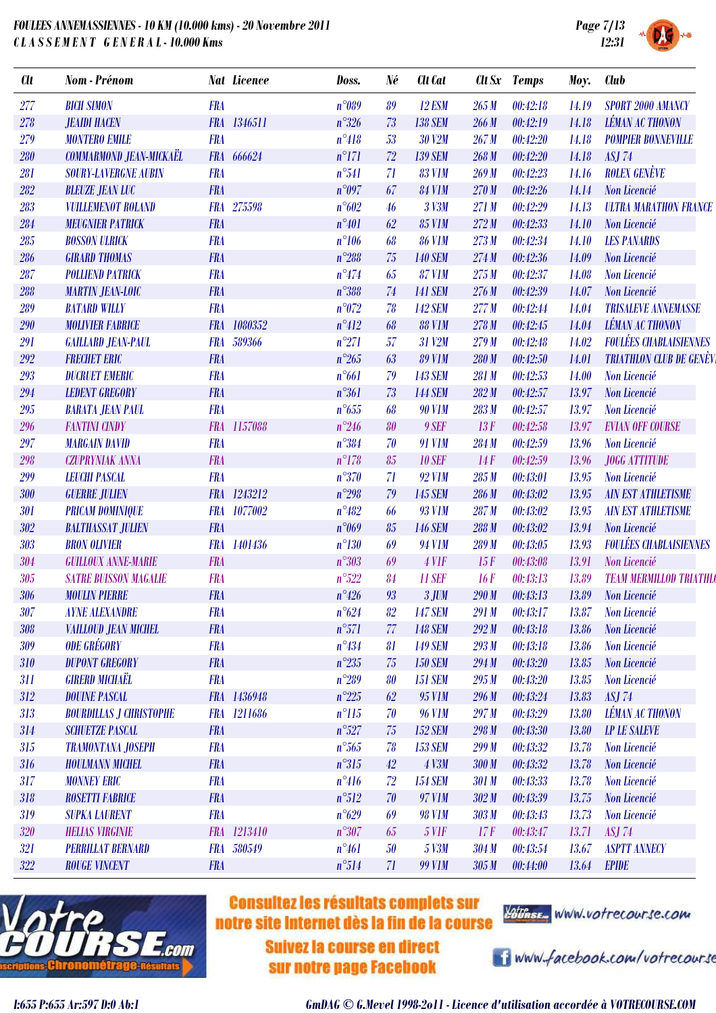

| <b>Clt</b> | <b>Nom</b> - Prénom            |            | <b>Nat Licence</b> | Doss.          | Né | <b>Clt</b> Cat |       | Clt Sx Temps | Moy.  | <b>Club</b>                     |
|------------|--------------------------------|------------|--------------------|----------------|----|----------------|-------|--------------|-------|---------------------------------|
| 277        | <b>BICH SIMON</b>              | <b>FRA</b> |                    | $n^{\circ}089$ | 89 | <b>12 ESM</b>  | 265M  | 00:42:18     | 14.19 | <b>SPORT 2000 AMANCY</b>        |
| 278        | <b>JEAIDI HACEN</b>            |            | FRA 1346511        | $n^{\circ}326$ | 73 | <b>138 SEM</b> | 266 M | 00:42:19     | 14.18 | <b>LÉMAN AC THONON</b>          |
| 279        | <b>MONTERO EMILE</b>           | <b>FRA</b> |                    | $n^{\circ}418$ | 53 | 30 V2M         | 267M  | 00:42:20     | 14.18 | <b>POMPIER BONNEVILLE</b>       |
| 280        | COMMARMOND JEAN-MICKAËL        |            | FRA 666624         | $n^{\circ}171$ | 72 | <b>139 SEM</b> | 268M  | 00:42:20     | 14.18 | <b>ASJ 74</b>                   |
| 281        | <b>SOURY-LAVERGNE AUBIN</b>    | <b>FRA</b> |                    | $n^{\circ}541$ | 71 | <b>83 V1M</b>  | 269M  | 00:42:23     | 14.16 | <b>ROLEX GENÈVE</b>             |
| 282        | <b>BLEUZE JEAN LUC</b>         | <b>FRA</b> |                    | $n^{\circ}097$ | 67 | <b>84 V1M</b>  | 270 M | 00:42:26     | 14.14 | Non Licencié                    |
| 283        | <b>VUILLEMENOT ROLAND</b>      |            | FRA 275598         | $n^{\circ}602$ | 46 | 3 V3M          | 271 M | 00:42:29     | 14.13 | <b>ULTRA MARATHON FRANCE</b>    |
| 284        | <b>MEUGNIER PATRICK</b>        | <b>FRA</b> |                    | $n^{\circ}401$ | 62 | <b>85 V1M</b>  | 272M  | 00:42:33     | 14.10 | Non Licencié                    |
| 285        | <b>BOSSON ULRICK</b>           | <b>FRA</b> |                    | $n^{\circ}106$ | 68 | <b>86 V1M</b>  | 273M  | 00:42:34     | 14.10 | <b>LES PANARDS</b>              |
| 286        | <b>GIRARD THOMAS</b>           | <b>FRA</b> |                    | $n^{\circ}288$ | 75 | <b>140 SEM</b> | 274M  | 00:42:36     | 14.09 | Non Licencié                    |
| 287        | <b>POLLIEND PATRICK</b>        | <b>FRA</b> |                    | $n^{\circ}474$ | 65 | <b>87 V1M</b>  | 275M  | 00:42:37     | 14.08 | Non Licencié                    |
| 288        | <b>MARTIN JEAN-LOIC</b>        | <b>FRA</b> |                    | $n^{\circ}388$ | 74 | <b>141 SEM</b> | 276M  | 00:42:39     | 14.07 | Non Licencié                    |
| 289        | <b>BATARD WILLY</b>            | <b>FRA</b> |                    | $n^{\circ}072$ | 78 | <b>142 SEM</b> | 277M  | 00:42:44     | 14.04 | <b>TRISALEVE ANNEMASSE</b>      |
| 290        | <b>MOLIVIER FABRICE</b>        | <b>FRA</b> | 1080352            | $n^{\circ}412$ | 68 | <b>88 V1M</b>  | 278M  | 00:42:45     | 14.04 | <b>LÉMAN AC THONON</b>          |
| 291        | <b>GAILLARD JEAN-PAUL</b>      | <b>FRA</b> | 589366             | $n^{\circ}271$ | 57 | 31 V2M         | 279M  | 00:42:48     | 14.02 | <b>FOULÉES CHABLAISIENNES</b>   |
| 292        | <b>FRECHET ERIC</b>            | <b>FRA</b> |                    | $n^{\circ}265$ | 63 | <b>89 V1M</b>  | 280 M | 00:42:50     | 14.01 | <b>TRIATHLON CLUB DE GENÈVI</b> |
| 293        | <b>DUCRUET EMERIC</b>          | <b>FRA</b> |                    | $n^{\circ}661$ | 79 | <b>143 SEM</b> | 281 M | 00:42:53     | 14.00 | Non Licencié                    |
| 294        | <b>LEDENT GREGORY</b>          | <b>FRA</b> |                    | $n^{\circ}361$ | 73 | <b>144 SEM</b> | 282M  | 00:42:57     | 13.97 | Non Licencié                    |
| 295        | <b>BARATA JEAN PAUL</b>        | <b>FRA</b> |                    | $n^{\circ}655$ | 68 | <b>90 V1M</b>  | 283M  | 00:42:57     | 13.97 | Non Licencié                    |
| 296        | <b>FANTINI CINDY</b>           |            | FRA 1157088        | $n^{\circ}246$ | 80 | 9 SEF          | 13F   | 00:42:58     | 13.97 | <b>EVIAN OFF COURSE</b>         |
| 297        | <b>MARGAIN DAVID</b>           | <b>FRA</b> |                    | $n^{\circ}384$ | 70 | <b>91 V1M</b>  | 284M  | 00:42:59     | 13.96 | Non Licencié                    |
| 298        | <b>CZUPRYNIAK ANNA</b>         | <b>FRA</b> |                    | $n^{\circ}178$ | 85 | <b>10 SEF</b>  | 14F   | 00:42:59     | 13.96 | JOGG ATTITUDE                   |
| 299        | <b>LEUCHI PASCAL</b>           | <b>FRA</b> |                    | $n^{\circ}370$ | 71 | <b>92 V1M</b>  | 285M  | 00:43:01     | 13.95 | Non Licencié                    |
| 300        | <b>GUERRE JULIEN</b>           |            | FRA 1243212        | $n^{\circ}298$ | 79 | <b>145 SEM</b> | 286 M | 00:43:02     | 13.95 | <b>AIN EST ATHLETISME</b>       |
| 301        | <b>PRICAM DOMINIQUE</b>        |            | FRA 1077002        | $n^{\circ}482$ | 66 | <b>93 V1M</b>  | 287M  | 00:43:02     | 13.95 | <b>AIN EST ATHLETISME</b>       |
| 302        | <b>BALTHASSAT JULIEN</b>       | <b>FRA</b> |                    | $n^{\circ}069$ | 85 | <b>146 SEM</b> | 288 M | 00:43:02     | 13.94 | Non Licencié                    |
| 303        | <b>BRON OLIVIER</b>            | <b>FRA</b> | 1401436            | $n^{\circ}130$ | 69 | <b>94 V1M</b>  | 289 M | 00:43:05     | 13.93 | <b>FOULÉES CHABLAISIENNES</b>   |
| 304        | <b>GUILLOUX ANNE-MARIE</b>     | <b>FRA</b> |                    | $n^{\circ}303$ | 69 | $4$ V1F        | 15F   | 00:43:08     | 13.91 | Non Licencié                    |
| 305        | <b>SATRE BUISSON MAGALIE</b>   | <b>FRA</b> |                    | $n^{\circ}522$ | 84 | <b>11 SEF</b>  | 16F   | 00:43:13     | 13.89 | <b>TEAM MERMILLOD TRIATHLO</b>  |
| 306        | <b>MOULIN PIERRE</b>           | <b>FRA</b> |                    | $n^{\circ}426$ | 93 | $3$ JUM        | 290 M | 00:43:13     | 13.89 | Non Licencié                    |
| 307        | <b>AYNE ALEXANDRE</b>          | <b>FRA</b> |                    | $n^{\circ}624$ | 82 | <b>147 SEM</b> | 291 M | 00:43:17     | 13.87 | Non Licencié                    |
| 308        | VAILLOUD JEAN MICHEL           | <b>FRA</b> |                    | $n^{\circ}571$ | 77 | <b>148 SEM</b> | 292M  | 00:43:18     | 13.86 | Non Licencié                    |
| 309        | ODE GRÉGORY                    | <b>FRA</b> |                    | $n^{\circ}434$ | 81 | <b>149 SEM</b> | 293M  | 00:43:18     | 13.86 | Non Licencié                    |
| 310        | <b>DUPONT GREGORY</b>          | <b>FRA</b> |                    | $n^{\circ}235$ | 75 | <b>150 SEM</b> | 294M  | 00:43:20     | 13.85 | Non Licencié                    |
| 311        | <b>GIRERD MICHAËL</b>          | <b>FRA</b> |                    | $n^{\circ}289$ | 80 | <b>151 SEM</b> | 295M  | 00:43:20     | 13.85 | Non Licencié                    |
| 312        | <b>DOUINE PASCAL</b>           |            | FRA 1436948        | $n^{\circ}225$ | 62 | 95 V1M         | 296M  | 00:43:24     | 13.83 | <b>ASJ 74</b>                   |
| 313        | <b>BOURDILLAS J CHRISTOPHE</b> |            | FRA 1211686        | $n^{\circ}115$ | 70 | <b>96 V1M</b>  | 297 M | 00:43:29     | 13.80 | <b>LÉMAN AC THONON</b>          |
| 314        | <b>SCHUETZE PASCAL</b>         | <b>FRA</b> |                    | $n^{\circ}527$ | 75 | <b>152 SEM</b> | 298 M | 00:43:30     | 13.80 | <b>LP LE SALEVE</b>             |
| 315        | <b>TRAMONTANA JOSEPH</b>       | <b>FRA</b> |                    | $n^{\circ}565$ | 78 | <b>153 SEM</b> | 299 M | 00:43:32     | 13.78 | Non Licencié                    |
| 316        | <b>HOULMANN MICHEL</b>         | <b>FRA</b> |                    | $n^{\circ}315$ | 42 | <b>4 V3M</b>   | 300 M | 00:43:32     | 13.78 | Non Licencié                    |
| 317        | <b>MONNEY ERIC</b>             | <b>FRA</b> |                    | $n^{\circ}416$ | 72 | <b>154 SEM</b> | 301 M | 00:43:33     | 13.78 | Non Licencié                    |
| 318        | <b>ROSETTI FABRICE</b>         | <b>FRA</b> |                    | $n^{\circ}512$ | 70 | 97 V1M         | 302M  | 00:43:39     | 13.75 | Non Licencié                    |
| 319        | <b>SUPKA LAURENT</b>           | <b>FRA</b> |                    | $n^{\circ}629$ | 69 | <b>98 V1M</b>  | 303 M | 00:43:43     | 13.73 | Non Licencié                    |
| 320        | <b>HELIAS VIRGINIE</b>         |            | FRA 1213410        | $n^{\circ}307$ | 65 | <b>5 V1F</b>   | 17F   | 00:43:47     | 13.71 | <b>ASJ 74</b>                   |
| 321        | <b>PERRILLAT BERNARD</b>       |            | FRA 580549         | $n^{\circ}461$ | 50 | 5 V3M          | 304M  | 00:43:54     | 13.67 | <b>ASPTT ANNECY</b>             |
| 322        | <b>ROUGE VINCENT</b>           | <b>FRA</b> |                    | $n^{\circ}514$ | 71 | <b>99 V1M</b>  | 305 M | 00:44:00     | 13.64 | <b>EPIDE</b>                    |



# **Consultez les résultats complets sur** notre site Internet dès la fin de la course

**Suivez la course en direct** sur notre page Facebook



i www.facebook.com/votrecourse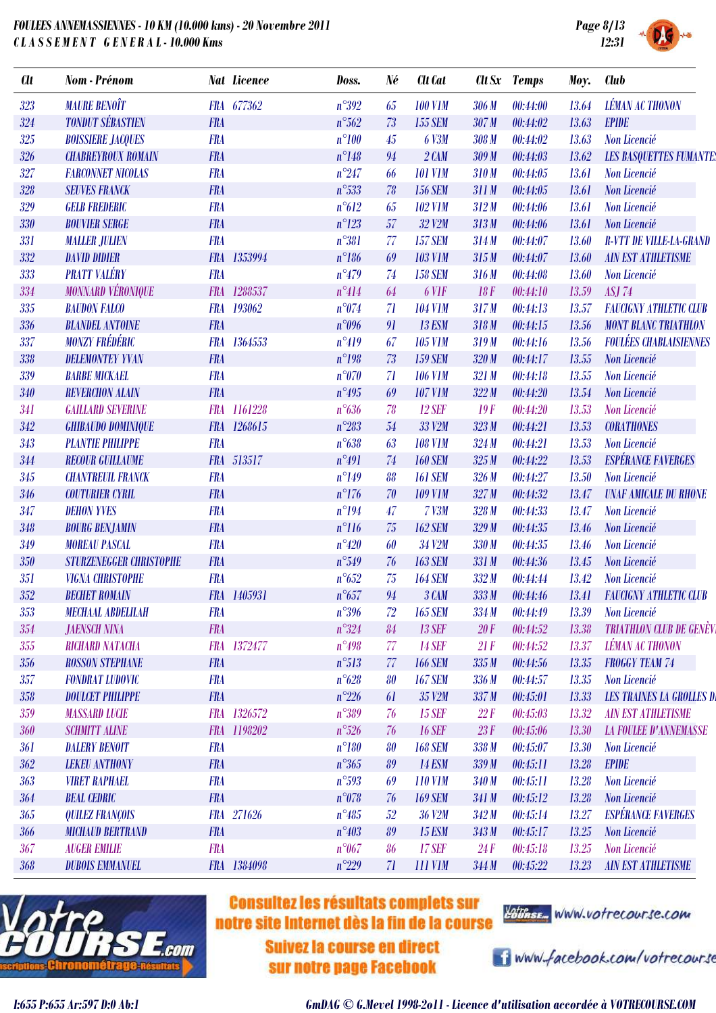

| <b>Clt</b> | Nom - Prénom                   |            | <b>Nat Licence</b> | Doss.          | Né | <b>Cit Cat</b>    |       | Clt Sx Temps | Moy.  | <b>Club</b>                      |
|------------|--------------------------------|------------|--------------------|----------------|----|-------------------|-------|--------------|-------|----------------------------------|
| 323        | <b>MAURE BENOIT</b>            |            | FRA 677362         | $n^{\circ}392$ | 65 | <b>100 V1M</b>    | 306 M | 00:44:00     | 13.64 | <b>LÉMAN AC THONON</b>           |
| 324        | <b>TONDUT SÉBASTIEN</b>        | <b>FRA</b> |                    | $n^{\circ}562$ | 73 | <b>155 SEM</b>    | 307M  | 00:44:02     | 13.63 | <b>EPIDE</b>                     |
| 325        | <b>BOISSIERE JACQUES</b>       | <b>FRA</b> |                    | $n^{\circ}100$ | 45 | <b>6 V3M</b>      | 308M  | 00:44:02     | 13.63 | Non Licencié                     |
| 326        | <b>CHABREYROUX ROMAIN</b>      | <b>FRA</b> |                    | $n^{\circ}148$ | 94 | $2$ $CAM$         | 309 M | 00:44:03     | 13.62 | <b>LES BASQUETTES FUMANTE:</b>   |
| 327        | <b>FARCONNET NICOLAS</b>       | <b>FRA</b> |                    | $n^{\circ}247$ | 66 | <b>101 V1M</b>    | 310M  | 00:44:05     | 13.61 | Non Licencié                     |
| 328        | <b>SEUVES FRANCK</b>           | <b>FRA</b> |                    | $n^{\circ}533$ | 78 | <b>156 SEM</b>    | 311M  | 00:44:05     | 13.61 | Non Licencié                     |
| 329        | <b>GELB FREDERIC</b>           | <b>FRA</b> |                    | $n^{\circ}612$ | 65 | <b>102 V1M</b>    | 312M  | 00:44:06     | 13.61 | Non Licencié                     |
| 330        | <b>BOUVIER SERGE</b>           | <b>FRA</b> |                    | $n^{\circ}123$ | 57 | 32 V2M            | 313M  | 00:44:06     | 13.61 | Non Licencié                     |
| 331        | <b>MALLER JULIEN</b>           | <b>FRA</b> |                    | $n^{\circ}381$ | 77 | <b>157 SEM</b>    | 314M  | 00:44:07     | 13.60 | <b>R-VTT DE VILLE-LA-GRAND</b>   |
| 332        | <b>DAVID DIDIER</b>            | <b>FRA</b> | 1353994            | $n^{\circ}186$ | 69 | <b>103 V1M</b>    | 315M  | 00:44:07     | 13.60 | <b>AIN EST ATHLETISME</b>        |
| 333        | <b>PRATT VALÉRY</b>            | <b>FRA</b> |                    | $n^{\circ}479$ | 74 | <b>158 SEM</b>    | 316M  | 00:44:08     | 13.60 | Non Licencié                     |
| 334        | <b>MONNARD VÉRONIQUE</b>       |            | FRA 1288537        | $n^{\circ}414$ | 64 | 6 V <sub>IF</sub> | 18F   | 00:44:10     | 13.59 | <b>ASJ 74</b>                    |
| 335        | <b>BAUDON FALCO</b>            | <b>FRA</b> | 193062             | $n^{\circ}074$ | 71 | <b>104 V1M</b>    | 317M  | 00:44:13     | 13.57 | <b>FAUCIGNY ATHLETIC CLUB</b>    |
| 336        | <b>BLANDEL ANTOINE</b>         | <b>FRA</b> |                    | $n^{\circ}096$ | 91 | <b>13 ESM</b>     | 318M  | 00:44:15     | 13.56 | <b>MONT BLANC TRIATHLON</b>      |
| 337        | <b>MONZY FRÉDÉRIC</b>          | <b>FRA</b> | 1364553            | $n^{\circ}419$ | 67 | <b>105 V1M</b>    | 319 M | 00:44:16     | 13.56 | <b>FOULÉES CHABLAISIENNES</b>    |
| 338        | <b>DELEMONTEY YVAN</b>         | <b>FRA</b> |                    | $n^{\circ}198$ | 73 | <b>159 SEM</b>    | 320 M | 00:44:17     | 13.55 | Non Licencié                     |
| 339        | <b>BARBE MICKAEL</b>           | <b>FRA</b> |                    | $n^{\circ}070$ | 71 | <b>106 V1M</b>    | 321 M | 00:44:18     | 13.55 | Non Licencié                     |
| 340        | <b>REVERCHON ALAIN</b>         | <b>FRA</b> |                    | $n^{\circ}495$ | 69 | <b>107 V1M</b>    | 322M  | 00:44:20     | 13.54 | Non Licencié                     |
| 341        | <b>GAILLARD SEVERINE</b>       | <b>FRA</b> | 1161228            | $n^{\circ}636$ | 78 | <b>12 SEF</b>     | 19F   | 00:44:20     | 13.53 | Non Licencié                     |
| 342        | <b>GHIBAUDO DOMINIQUE</b>      |            | FRA 1268615        | $n^{\circ}283$ | 54 | 33 V2M            | 323M  | 00:44:21     | 13.53 | <b>CORATHONES</b>                |
| 343        | <b>PLANTIE PHILIPPE</b>        | <b>FRA</b> |                    | $n^{\circ}638$ | 63 | <b>108 V1M</b>    | 324M  | 00:44:21     | 13.53 | Non Licencié                     |
| 344        | <b>RECOUR GUILLAUME</b>        |            | FRA 513517         | $n^{\circ}491$ | 74 | <b>160 SEM</b>    | 325M  | 00:44:22     | 13.53 | <b>ESPÉRANCE FAVERGES</b>        |
| 345        | <b>CHANTREUIL FRANCK</b>       | <b>FRA</b> |                    | $n^{\circ}149$ | 88 | <b>161 SEM</b>    | 326M  | 00:44:27     | 13.50 | Non Licencié                     |
| 346        | <b>COUTURIER CYRIL</b>         | <b>FRA</b> |                    | $n^{\circ}176$ | 70 | <b>109 V1M</b>    | 327M  | 00:44:32     | 13.47 | <b>UNAF AMICALE DU RHONE</b>     |
| 347        | <b>DEHON YVES</b>              | <b>FRA</b> |                    | $n^{\circ}194$ | 47 | $7$ $V3M$         | 328 M | 00:44:33     | 13.47 | Non Licencié                     |
| 348        | <b>BOURG BENJAMIN</b>          | <b>FRA</b> |                    | $n^{\circ}116$ | 75 | <b>162 SEM</b>    | 329M  | 00:44:35     | 13.46 | Non Licencié                     |
| 349        | <b>MOREAU PASCAL</b>           | <b>FRA</b> |                    | $n^{\circ}420$ | 60 | 34 V2M            | 330 M | 00:44:35     | 13.46 | Non Licencié                     |
| 350        | <b>STURZENEGGER CHRISTOPHE</b> | <b>FRA</b> |                    | $n^{\circ}549$ | 76 | <b>163 SEM</b>    | 331 M | 00:44:36     | 13.45 | Non Licencié                     |
| 351        | <b>VIGNA CHRISTOPHE</b>        | <b>FRA</b> |                    | $n^{\circ}652$ | 75 | <b>164 SEM</b>    | 332M  | 00:44:44     | 13.42 | Non Licencié                     |
| 352        | <b>BECHET ROMAIN</b>           |            | FRA 1405931        | $n^{\circ}657$ | 94 | 3 CAM             | 333M  | 00:44:46     | 13.41 | <b>FAUCIGNY ATHLETIC CLUB</b>    |
| 353        | <b>MECHAAL ABDELILAH</b>       | <b>FRA</b> |                    | $n^{\circ}396$ | 72 | <b>165 SEM</b>    | 334M  | 00:44:49     | 13.39 | Non Licencié                     |
| 354        | <b>JAENSCH NINA</b>            | <b>FRA</b> |                    | $n^{\circ}324$ | 84 | <b>13 SEF</b>     | 20F   | 00:44:52     | 13.38 | <b>TRIATHLON CLUB DE GENÈVI</b>  |
| 355        | <b>RICHARD NATACHA</b>         |            | FRA 1372477        | $n^{\circ}498$ | 77 | <b>14 SEF</b>     | 21F   | 00:44:52     | 13.37 | <b>LÉMAN AC THONON</b>           |
| 356        | <b>ROSSON STEPHANE</b>         | <b>FRA</b> |                    | $n^{\circ}513$ | 77 | <b>166 SEM</b>    | 335M  | 00:44:56     | 13.35 | <b>FROGGY TEAM 74</b>            |
| 357        | <b>FONDRAT LUDOVIC</b>         | <b>FRA</b> |                    | $n^{\circ}628$ | 80 | <b>167 SEM</b>    | 336 M | 00:44:57     | 13.35 | Non Licencié                     |
| 358        | <b>DOULCET PHILIPPE</b>        | <b>FRA</b> |                    | $n^{\circ}226$ | 61 | 35 V2M            | 337M  | 00:45:01     | 13.33 | <b>LES TRAINES LA GROLLES DI</b> |
| 359        | <b>MASSARD LUCIE</b>           |            | FRA 1326572        | $n^{\circ}389$ | 76 | <b>15 SEF</b>     | 22F   | 00:45:03     | 13.32 | <b>AIN EST ATHLETISME</b>        |
| <b>360</b> | <b>SCHMITT ALINE</b>           |            | FRA 1198202        | $n^{\circ}526$ | 76 | <b>16 SEF</b>     | 23F   | 00:45:06     | 13.30 | <b>LA FOULEE D'ANNEMASSE</b>     |
| 361        | <b>DALERY BENOIT</b>           | <b>FRA</b> |                    | $n^{\circ}180$ | 80 | <b>168 SEM</b>    | 338M  | 00:45:07     | 13.30 | Non Licencié                     |
| 362        | <b>LEKEU ANTHONY</b>           | <b>FRA</b> |                    | $n^{\circ}365$ | 89 | <b>14 ESM</b>     | 339 M | 00:45:11     | 13.28 | <b>EPIDE</b>                     |
| 363        | <b>VIRET RAPHAEL</b>           | <b>FRA</b> |                    | $n^{\circ}593$ | 69 | 110 V1M           | 340 M | 00:45:11     | 13.28 | Non Licencié                     |
| 364        | <b>BEAL CEDRIC</b>             | <b>FRA</b> |                    | $n^{\circ}078$ | 76 | <b>169 SEM</b>    | 341 M | 00:45:12     | 13.28 | Non Licencié                     |
| 365        | <b>QUILEZ FRANÇOIS</b>         |            | FRA 271626         | $n^{\circ}485$ | 52 | 36 V2M            | 342M  | 00:45:14     | 13.27 | <b>ESPÉRANCE FAVERGES</b>        |
| 366        | <b>MICHAUD BERTRAND</b>        | <b>FRA</b> |                    | $n^{\circ}403$ | 89 | <b>15 ESM</b>     | 343M  | 00:45:17     | 13.25 | Non Licencié                     |
| 367        | <b>AUGER EMILIE</b>            | <b>FRA</b> |                    | $n^{\circ}067$ | 86 | <b>17 SEF</b>     | 24F   | 00:45:18     | 13.25 | Non Licencié                     |
| 368        | <b>DUBOIS EMMANUEL</b>         |            | FRA 1384098        | $n^{\circ}229$ | 71 | <b>111 V1M</b>    | 344M  | 00:45:22     | 13.23 | <b>AIN EST ATHLETISME</b>        |



## **Consultez les résultats complets sur** notre site Internet dès la fin de la course

**Suivez la course en direct** sur notre page Facebook



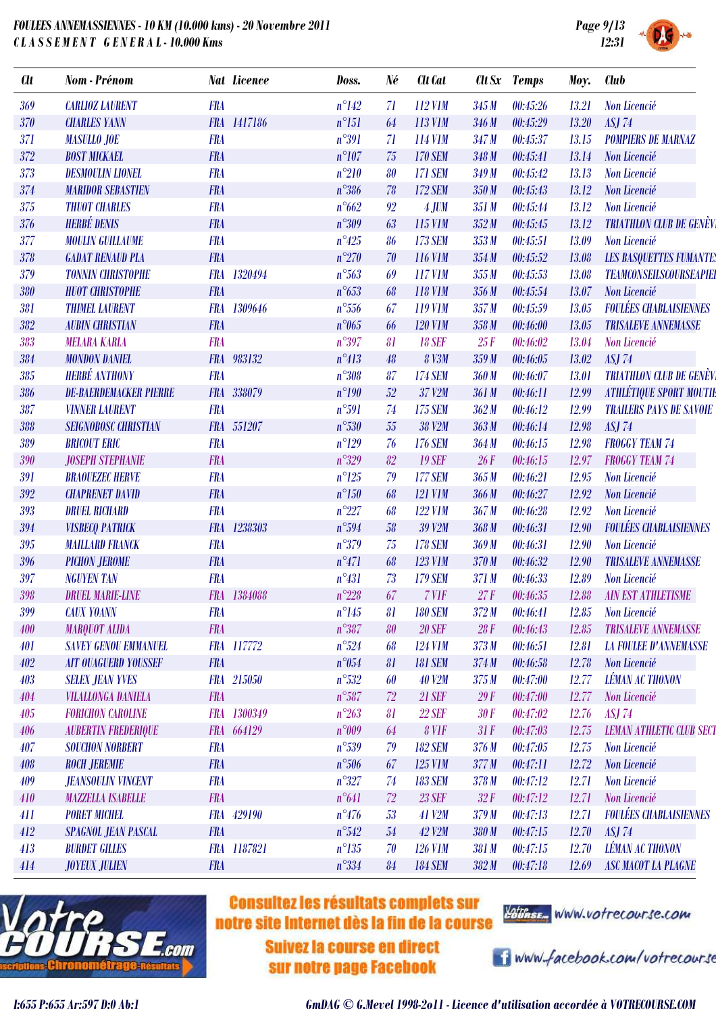

| <b>Clt</b> | Nom - Prénom                  |            | <b>Nat Licence</b> | Doss.          | Né | <b>Clt</b> Cat |                  | Clt Sx Temps | Moy.  | Club                            |
|------------|-------------------------------|------------|--------------------|----------------|----|----------------|------------------|--------------|-------|---------------------------------|
| 369        | <b>CARLIOZ LAURENT</b>        | <b>FRA</b> |                    | $n^{\circ}142$ | 71 | 112 V1M        | 345 M            | 00:45:26     | 13.21 | Non Licencié                    |
| <b>370</b> | <b>CHARLES YANN</b>           |            | FRA 1417186        | $n^{\circ}151$ | 64 | 113 V1M        | 346 M            | 00:45:29     | 13.20 | <b>ASJ 74</b>                   |
| 371        | <b>MASULLO JOE</b>            | <b>FRA</b> |                    | $n^{\circ}391$ | 71 | 114 V1M        | 347M             | 00:45:37     | 13.15 | <b>POMPIERS DE MARNAZ</b>       |
| 372        | <b>BOST MICKAEL</b>           | <b>FRA</b> |                    | $n^{\circ}107$ | 75 | <b>170 SEM</b> | 348 M            | 00:45:41     | 13.14 | Non Licencié                    |
| 373        | <b>DESMOULIN LIONEL</b>       | <b>FRA</b> |                    | $n^{\circ}210$ | 80 | <b>171 SEM</b> | 349 M            | 00:45:42     | 13.13 | Non Licencié                    |
| 374        | <b>MARIDOR SEBASTIEN</b>      | <b>FRA</b> |                    | $n^{\circ}386$ | 78 | <b>172 SEM</b> | 350M             | 00:45:43     | 13.12 | Non Licencié                    |
| 375        | <b>THUOT CHARLES</b>          | <b>FRA</b> |                    | $n^{\circ}662$ | 92 | $4$ JUM        | 351M             | 00:45:44     | 13.12 | Non Licencié                    |
| 376        | <b>HERBÉ DENIS</b>            | <b>FRA</b> |                    | $n^{\circ}309$ | 63 | 115 V1M        | 352M             | 00:45:45     | 13.12 | <b>TRIATHLON CLUB DE GENÈVI</b> |
| 377        | <b>MOULIN GUILLAUME</b>       | <b>FRA</b> |                    | $n^{\circ}425$ | 86 | <b>173 SEM</b> | 353M             | 00:45:51     | 13.09 | Non Licencié                    |
| 378        | <b>GADAT RENAUD PLA</b>       | <b>FRA</b> |                    | $n^{\circ}270$ | 70 | 116 V1M        | 354M             | 00:45:52     | 13.08 | <b>LES BASQUETTES FUMANTE:</b>  |
| 379        | <b>TONNIN CHRISTOPHE</b>      | <b>FRA</b> | 1320494            | $n^{\circ}563$ | 69 | 117 V1M        | 355M             | 00:45:53     | 13.08 | <b>TEAMCONSEILSCOURSEAPIEI</b>  |
| 380        | <b>HUOT CHRISTOPHE</b>        | <b>FRA</b> |                    | $n^{\circ}653$ | 68 | <b>118 V1M</b> | 356M             | 00:45:54     | 13.07 | Non Licencié                    |
| 381        | <b>THIMEL LAURENT</b>         |            | FRA 1309646        | $n^{\circ}556$ | 67 | 119 V1M        | 357M             | 00:45:59     | 13.05 | <b>FOULÉES CHABLAISIENNES</b>   |
| 382        | <b>AUBIN CHRISTIAN</b>        | <b>FRA</b> |                    | $n^{\circ}065$ | 66 | <b>120 V1M</b> | 358M             | 00:46:00     | 13.05 | <b>TRISALEVE ANNEMASSE</b>      |
| 383        | <b>MELARA KARLA</b>           | <b>FRA</b> |                    | $n^{\circ}397$ | 81 | <b>18 SEF</b>  | 25F              | 00:46:02     | 13.04 | Non Licencié                    |
| 384        | <b>MONDON DANIEL</b>          |            | FRA 983132         | $n^{\circ}413$ | 48 | <b>8 V3M</b>   | 359M             | 00:46:05     | 13.02 | <b>ASJ 74</b>                   |
| 385        | <b>HERBÉ ANTHONY</b>          | <b>FRA</b> |                    | $n^{\circ}308$ | 87 | <b>174 SEM</b> | 360M             | 00:46:07     | 13.01 | <b>TRIATHLON CLUB DE GENÈVI</b> |
| 386        | <b>DE-BAERDEMACKER PIERRE</b> |            | FRA 338079         | $n^{\circ}190$ | 52 | 37 V2M         | 361 M            | 00:46:11     | 12.99 | <b>ATHLÉTIQUE SPORT MOUTIE</b>  |
| 387        | <b>VINNER LAURENT</b>         | <b>FRA</b> |                    | $n^{\circ}591$ | 74 | <b>175 SEM</b> | 362M             | 00:46:12     | 12.99 | <b>TRAILERS PAYS DE SAVOIE</b>  |
| 388        | <b>SEIGNOBOSC CHRISTIAN</b>   |            | FRA 551207         | $n^{\circ}530$ | 55 | 38 V2M         | 363M             | 00:46:14     | 12.98 | <b>ASJ 74</b>                   |
| 389        | <b>BRICOUT ERIC</b>           | <b>FRA</b> |                    | $n^{\circ}129$ | 76 | <b>176 SEM</b> | 364M             | 00:46:15     | 12.98 | <b>FROGGY TEAM 74</b>           |
| 390        | <b>JOSEPH STEPHANIE</b>       | <b>FRA</b> |                    | $n^{\circ}329$ | 82 | <b>19 SEF</b>  | 26F              | 00:46:15     | 12.97 | <b>FROGGY TEAM 74</b>           |
| 391        | <b>BRAOUEZEC HERVE</b>        | <b>FRA</b> |                    | $n^{\circ}125$ | 79 | <b>177 SEM</b> | 365M             | 00:46:21     | 12.95 | Non Licencié                    |
| 392        | <b>CHAPRENET DAVID</b>        | <b>FRA</b> |                    | $n^{\circ}150$ | 68 | <b>121 V1M</b> | 366 M            | 00:46:27     | 12.92 | Non Licencié                    |
| 393        | <b>DRUEL RICHARD</b>          | <b>FRA</b> |                    | $n^{\circ}227$ | 68 | <b>122 V1M</b> | 367 <sub>M</sub> | 00:46:28     | 12.92 | Non Licencié                    |
| 394        | <b>VISBECQ PATRICK</b>        |            | FRA 1238303        | $n^{\circ}594$ | 58 | 39 V2M         | 368M             | 00:46:31     | 12.90 | <b>FOULÉES CHABLAISIENNES</b>   |
| 395        | <b>MAILLARD FRANCK</b>        | <b>FRA</b> |                    | $n^{\circ}379$ | 75 | <b>178 SEM</b> | 369M             | 00:46:31     | 12.90 | Non Licencié                    |
| 396        | <b>PICHON JEROME</b>          | <b>FRA</b> |                    | $n^{\circ}471$ | 68 | <b>123 V1M</b> | 370 M            | 00:46:32     | 12.90 | <b>TRISALEVE ANNEMASSE</b>      |
| 397        | <b>NGUYEN TAN</b>             | <b>FRA</b> |                    | $n^{\circ}431$ | 73 | <b>179 SEM</b> | 371 M            | 00:46:33     | 12.89 | Non Licencié                    |
| 398        | <b>DRUEL MARIE-LINE</b>       |            | FRA 1384088        | $n^{\circ}228$ | 67 | 7 VIF          | 27F              | 00:46:35     | 12.88 | <b>AIN EST ATHLETISME</b>       |
| 399        | <b>CAUX YOANN</b>             | <b>FRA</b> |                    | $n^{\circ}145$ | 81 | <b>180 SEM</b> | 372 M            | 00:46:41     | 12.85 | Non Licencié                    |
| 400        | <b>MARQUOT ALIDA</b>          | <b>FRA</b> |                    | $n^{\circ}387$ | 80 | <b>20 SEF</b>  | 28F              | 00:46:43     | 12.85 | <b>TRISALEVE ANNEMASSE</b>      |
| 401        | <b>SAVEY GENOU EMMANUEL</b>   |            | FRA 117772         | $n^{\circ}524$ | 68 | <b>124 V1M</b> | 373M             | 00:46:51     | 12.81 | <b>LA FOULEE D'ANNEMASSE</b>    |
| 402        | <b>AIT OUAGUERD YOUSSEF</b>   | <b>FRA</b> |                    | $n^{\circ}054$ | 81 | <b>181 SEM</b> | 374M             | 00:46:58     | 12.78 | Non Licencié                    |
| 403        | <b>SELEX JEAN YVES</b>        |            | FRA 215050         | $n^{\circ}532$ | 60 | <b>40 V2M</b>  | 375M             | 00:47:00     | 12.77 | <b>LÉMAN AC THONON</b>          |
| 404        | <b>VILALLONGA DANIELA</b>     | <b>FRA</b> |                    | $n^{\circ}587$ | 72 | <b>21 SEF</b>  | 29F              | 00:47:00     | 12.77 | Non Licencié                    |
| 405        | <b>FORICHON CAROLINE</b>      |            | FRA 1300349        | $n^{\circ}263$ | 81 | <b>22 SEF</b>  | 30F              | 00:47:02     | 12.76 | <b>ASJ 74</b>                   |
| 406        | <b>AUBERTIN FREDERIQUE</b>    |            | FRA 664129         | n°009          | 64 | 8 VIF          | 31F              | 00:47:03     | 12.75 | <b>LEMAN ATHLETIC CLUB SECT</b> |
| 407        | <b>SOUCHON NORBERT</b>        | <b>FRA</b> |                    | $n^{\circ}539$ | 79 | <b>182 SEM</b> | 376M             | 00:47:05     | 12.75 | Non Licencié                    |
| 408        | <b>ROCH JEREMIE</b>           | <b>FRA</b> |                    | $n^{\circ}506$ | 67 | 125 V1M        | 377M             | 00:47:11     | 12.72 | Non Licencié                    |
| 409        | <b>JEANSOULIN VINCENT</b>     | <b>FRA</b> |                    | $n^{\circ}327$ | 74 | <b>183 SEM</b> | 378M             | 00:47:12     | 12.71 | Non Licencié                    |
| 410        | <b>MAZZELLA ISABELLE</b>      | <b>FRA</b> |                    | $n^{\circ}641$ | 72 | <b>23 SEF</b>  | 32F              | 00:47:12     | 12.71 | Non Licencié                    |
| 411        | <b>PORET MICHEL</b>           |            | FRA 429190         | $n^{\circ}476$ | 53 | 41 V2M         | 379 M            | 00:47:13     | 12.71 | <b>FOULÉES CHABLAISIENNES</b>   |
| 412        | <b>SPAGNOL JEAN PASCAL</b>    | <b>FRA</b> |                    | $n^{\circ}542$ | 54 | 42 V2M         | 380 M            | 00:47:15     | 12.70 | <b>ASJ 74</b>                   |
| 413        | <b>BURDET GILLES</b>          |            | FRA 1187821        | $n^{\circ}135$ | 70 | <b>126 V1M</b> | 381 M            | 00:47:15     | 12.70 | <b>LÉMAN AC THONON</b>          |
| 414        | <b>JOYEUX JULIEN</b>          | <b>FRA</b> |                    | $n^{\circ}334$ | 84 | <b>184 SEM</b> | 382M             | 00:47:18     | 12.69 | <b>ASC MACOT LA PLAGNE</b>      |
|            |                               |            |                    |                |    |                |                  |              |       |                                 |



## **Consultez les résultats complets sur** notre site Internet dès la fin de la course

**Suivez la course en direct** sur notre page Facebook



i www.facebook.com/votrecourse

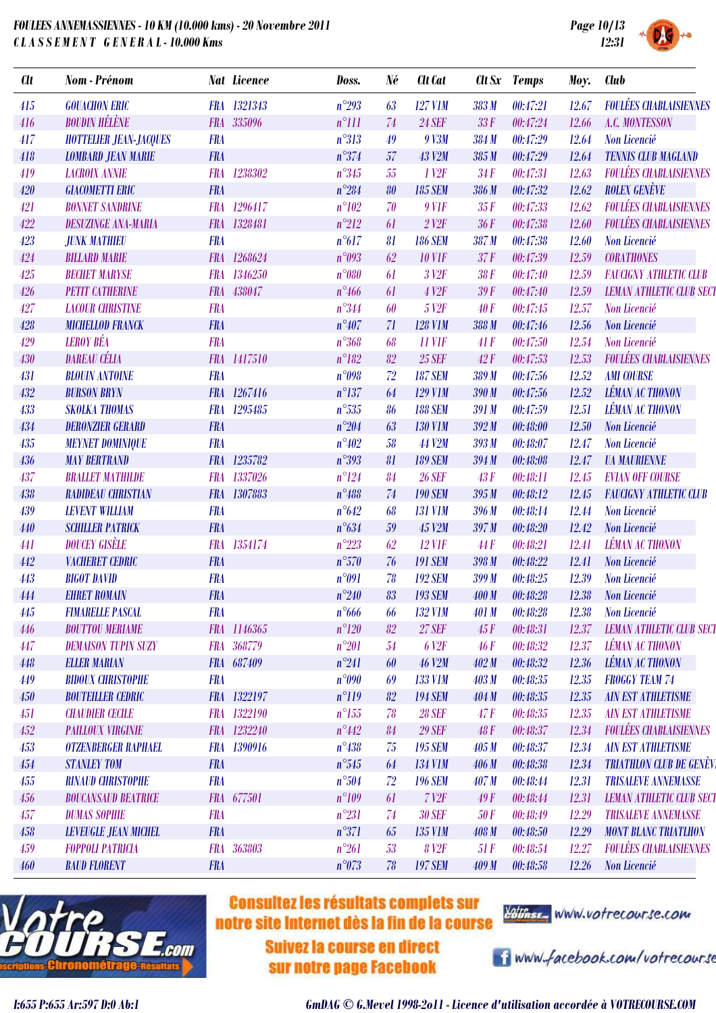| OULEES ANNEMASSIENNES - 10 KM (10.000 kms) - 20 Novembre 2011<br>LASSEMENT GENERAL-10.000 Kms |                               |            |                    |                |    |                      |              |              |       | Page 10/13<br>12:31             |  |  |
|-----------------------------------------------------------------------------------------------|-------------------------------|------------|--------------------|----------------|----|----------------------|--------------|--------------|-------|---------------------------------|--|--|
| Clt                                                                                           | <b>Nom</b> - Prénom           |            | <b>Nat Licence</b> | Doss.          | Né | <b>Clt</b> Cat       |              | Clt Sx Temps | Moy.  | <b>Club</b>                     |  |  |
| 415                                                                                           | <b>GOUACHON ERIC</b>          |            | FRA 1321343        | $n^{\circ}293$ | 63 | <b>127 V1M</b>       | 383 M        | 00:47:21     | 12.67 | <b>FOULÉES CHABLAISIENNES</b>   |  |  |
| 416                                                                                           | <b>BOUDIN HÉLÈNE</b>          |            | FRA 335096         | $n^{\circ}111$ | 74 | <b>24 SEF</b>        | 33F          | 00:47:24     | 12.66 | <b>A.C. MONTESSON</b>           |  |  |
| 417                                                                                           | <b>HOTTELIER JEAN-JACQUES</b> | <b>FRA</b> |                    | $n^{\circ}313$ | 49 | 9 V3M                | 384 M        | 00:47:29     | 12.64 | Non Licencié                    |  |  |
| 418                                                                                           | <b>LOMBARD JEAN MARIE</b>     | <b>FRA</b> |                    | $n^{\circ}374$ | 57 | <b>43 V2M</b>        | 385M         | 00:47:29     | 12.64 | <b>TENNIS CLUB MAGLAND</b>      |  |  |
| 419                                                                                           | <b>LACROIX ANNIE</b>          | <b>FRA</b> | 1238302            | $n^{\circ}345$ | 55 | 1 <sup>1</sup>       | 34F          | 00:47:31     | 12.63 | <b>FOULÉES CHABLAISIENNES</b>   |  |  |
| 420                                                                                           | <b>GIACOMETTI ERIC</b>        | <b>FRA</b> |                    | $n^{\circ}284$ | 80 | <b>185 SEM</b>       | 386 M        | 00:47:32     | 12.62 | <b>ROLEX GENÈVE</b>             |  |  |
| 421                                                                                           | <b>BONNET SANDRINE</b>        |            | FRA 1296417        | $n^{\circ}102$ | 70 | $9$ V1F              | 35F          | 00:47:33     | 12.62 | <b>FOULÉES CHABLAISIENNES</b>   |  |  |
| 422                                                                                           | <b>DESUZINGE ANA-MARIA</b>    |            | FRA 1328481        | $n^{\circ}212$ | 61 | $2$ V <sub>2</sub> F | 36F          | 00:47:38     | 12.60 | <b>FOULÉES CHABLAISIENNES</b>   |  |  |
| 423                                                                                           | <b>JUNK MATHIEU</b>           | <b>FRA</b> |                    | $n^{\circ}617$ | 81 | <b>186 SEM</b>       | 387M         | 00:47:38     | 12.60 | Non Licencié                    |  |  |
| 424                                                                                           | <b>BILLARD MARIE</b>          |            | FRA 1268624        | n°093          | 62 | <b>10 V1F</b>        | 37F          | 00:47:39     | 12.59 | <b>CORATHONES</b>               |  |  |
| 425                                                                                           | <b>BECHET MARYSE</b>          |            | FRA 1346250        | $n^{\circ}080$ | 61 | 3 V <sub>2</sub> F   | 38F          | 00:47:40     | 12.59 | <b>FAUCIGNY ATHLETIC CLUB</b>   |  |  |
| 426                                                                                           | <b>PETIT CATHERINE</b>        | <b>FRA</b> | 438047             | $n^{\circ}466$ | 61 | 4 V <sub>2F</sub>    | 39F          | 00:47:40     | 12.59 | <b>LEMAN ATHLETIC CLUB SECT</b> |  |  |
| 427                                                                                           | <b>LACOUR CHRISTINE</b>       | <b>FRA</b> |                    | $n^{\circ}344$ | 60 | 5 V <sub>2F</sub>    | 40F          | 00:47:45     | 12.57 | Non Licencié                    |  |  |
| 428                                                                                           | <b>MICHELLOD FRANCK</b>       | <b>FRA</b> |                    | $n^{\circ}407$ | 71 | <b>128 V1M</b>       | 388 M        | 00:47:46     | 12.56 | Non Licencié                    |  |  |
| 429                                                                                           | <b>LEROY BÉA</b>              | <b>FRA</b> |                    | $n^{\circ}368$ | 68 | <b>11 VIF</b>        | 41F          | 00:47:50     | 12.54 | Non Licencié                    |  |  |
| 430                                                                                           | <b>DAREAU CÉLIA</b>           |            | FRA 1417510        | $n^{\circ}182$ | 82 | <b>25 SEF</b>        | 42F          | 00:47:53     | 12.53 | <b>FOULÉES CHABLAISIENNES</b>   |  |  |
| 431                                                                                           | <b>BLOUIN ANTOINE</b>         | <b>FRA</b> |                    | n°098          | 72 | <b>187 SEM</b>       | 389 M        | 00:47:56     | 12.52 | <b>AMI COURSE</b>               |  |  |
| 432                                                                                           | <b>BURSON BRYN</b>            |            | FRA 1267416        | $n^{\circ}137$ | 64 | <b>129 V1M</b>       | 390 M        | 00:47:56     | 12.52 | <b>LÉMAN AC THONON</b>          |  |  |
| 433                                                                                           | <b>SKOLKA THOMAS</b>          | <b>FRA</b> | 1295485            | $n^{\circ}535$ | 86 | <b>188 SEM</b>       | 391 M        | 00:47:59     | 12.51 | <b>LÉMAN AC THONON</b>          |  |  |
| 434                                                                                           | <b>DERONZIER GERARD</b>       | <b>FRA</b> |                    | $n^{\circ}204$ | 63 | <b>130 V1M</b>       | 392M         | 00:48:00     | 12.50 | Non Licencié                    |  |  |
| 435                                                                                           | <b>MEYNET DOMINIQUE</b>       | <b>FRA</b> |                    | $n^{\circ}402$ | 58 | <b>44 V2M</b>        | 393M         | 00:48:07     | 12.47 | Non Licencié                    |  |  |
| 436                                                                                           | <b>MAY BERTRAND</b>           |            | FRA 1235782        | $n^{\circ}393$ | 81 | <b>189 SEM</b>       | 394M         | 00:48:08     | 12.47 | <b><i>UA MAURIENNE</i></b>      |  |  |
| 437                                                                                           | <b>BRALLET MATHILDE</b>       |            | FRA 1337026        | $n^{\circ}124$ | 84 | <b>26 SEF</b>        | 43F          | 00:48:11     | 12.45 | <b>EVIAN OFF COURSE</b>         |  |  |
| 438                                                                                           | <b>RADIDEAU CHRISTIAN</b>     |            | FRA 1307883        | $n^{\circ}488$ | 74 | <b>190 SEM</b>       | 395M         | 00:48:12     | 12.45 | <b>FAUCIGNY ATHLETIC CLUB</b>   |  |  |
| 439                                                                                           | <b>LEVENT WILLIAM</b>         | <b>FRA</b> |                    | $n^{\circ}642$ | 68 | <b>131 V1M</b>       | 396 M        | 00:48:14     | 12.44 | Non Licencié                    |  |  |
| 440                                                                                           | <b>SCHILLER PATRICK</b>       | <b>FRA</b> |                    | $n^{\circ}634$ | 59 | <b>45 V2M</b>        | 397 M        | 00:48:20     | 12.42 | Non Licencié                    |  |  |
| 441                                                                                           | <b>DOUCEY GISÈLE</b>          | <b>FRA</b> | 1354174            | $n^{\circ}223$ | 62 | $12$ V1F             | 44F          | 00:48:21     | 12.41 | <b>LÉMAN AC THONON</b>          |  |  |
| 442                                                                                           | <b>VACHERET CEDRIC</b>        | <b>FRA</b> |                    | $n^{\circ}570$ | 76 | <b>191 SEM</b>       | 398 M        | 00:48:22     | 12.41 | Non Licencié                    |  |  |
| 443                                                                                           | <b>BIGOT DAVID</b>            | <b>FRA</b> |                    | n°091          | 78 | <b>192 SEM</b>       | 399 M        | 00:48:25     | 12.39 | Non Licencié                    |  |  |
| 444                                                                                           | <b>EHRET ROMAIN</b>           | <b>FRA</b> |                    | $n^{\circ}240$ | 83 | <b>193 SEM</b>       | 400 M        | 00:48:28     | 12.38 | Non Licencié                    |  |  |
| 445                                                                                           | <b>FIMARELLE PASCAL</b>       | <b>FRA</b> |                    | $n^{\circ}666$ | 66 | <b>132 V1M</b>       | <b>401 M</b> | 00:48:28     | 12.38 | Non Licencié                    |  |  |
|                                                                                               |                               |            |                    |                |    |                      |              |              |       |                                 |  |  |





### **Consultez les résultats complets sur** notre site Internet dès la fin de la course

**Suivez la course en direct sur notre page Facebook** 



i www.facebook.com/votrecourse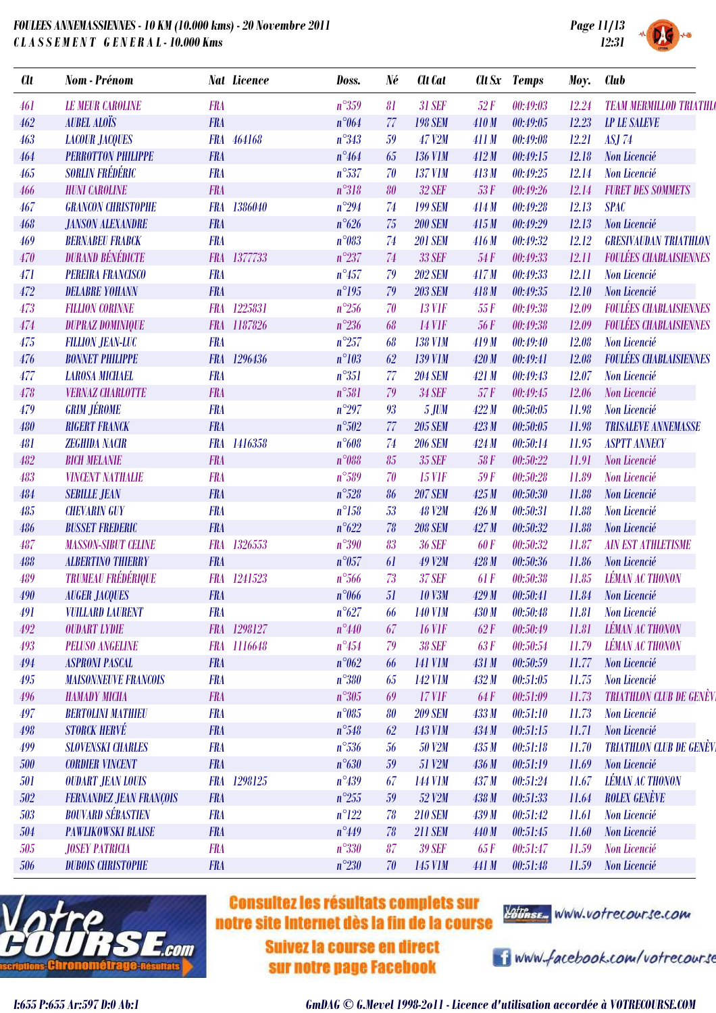

|  | <b>SYSTEM</b> |  |
|--|---------------|--|

| <b>Clt</b> | <b>Nom</b> - Prénom            |            | <b>Nat Licence</b> | Doss.          | Né | <b>Clt</b> Cat | Clt Sx     | <b>Temps</b> | Moy.  | <b>Club</b>                     |
|------------|--------------------------------|------------|--------------------|----------------|----|----------------|------------|--------------|-------|---------------------------------|
| 461        | <b>LE MEUR CAROLINE</b>        | <b>FRA</b> |                    | $n^{\circ}359$ | 81 | <b>31 SEF</b>  | 52F        | 00:49:03     | 12.24 | <b>TEAM MERMILLOD TRIATHLO</b>  |
| 462        | <b>AUBEL ALOÏS</b>             | <b>FRA</b> |                    | $n^{\circ}064$ | 77 | <b>198 SEM</b> | 410M       | 00:49:05     | 12.23 | <b>LP LE SALEVE</b>             |
| 463        | <b>LACOUR JACQUES</b>          |            | FRA 464168         | $n^{\circ}343$ | 59 | <b>47 V2M</b>  | 411 M      | 00:49:08     | 12.21 | <b>ASJ 74</b>                   |
| 464        | <b>PERROTTON PHILIPPE</b>      | <b>FRA</b> |                    | $n^{\circ}464$ | 65 | <b>136 V1M</b> | 412M       | 00:49:15     | 12.18 | Non Licencié                    |
| 465        | <b>SORLIN FRÉDÉRIC</b>         | <b>FRA</b> |                    | $n^{\circ}537$ | 70 | <b>137 V1M</b> | 413M       | 00:49:25     | 12.14 | Non Licencié                    |
| 466        | <b>HUNI CAROLINE</b>           | <b>FRA</b> |                    | $n^{\circ}318$ | 80 | <b>32 SEF</b>  | 53F        | 00:49:26     | 12.14 | <b>FURET DES SOMMETS</b>        |
| 467        | <b>GRANCON CHRISTOPHE</b>      | <b>FRA</b> | 1386040            | $n^{\circ}294$ | 74 | <b>199 SEM</b> | 414M       | 00:49:28     | 12.13 | <b>SPAC</b>                     |
| 468        | <b>JANSON ALEXANDRE</b>        | <b>FRA</b> |                    | $n^{\circ}626$ | 75 | <b>200 SEM</b> | 415M       | 00:49:29     | 12.13 | Non Licencié                    |
| 469        | <b>BERNABEU FRABCK</b>         | <b>FRA</b> |                    | n°083          | 74 | <b>201 SEM</b> | 416M       | 00:49:32     | 12.12 | <b>GRESIVAUDAN TRIATHLON</b>    |
| 470        | <b>DURAND BÉNÉDICTE</b>        | <b>FRA</b> | 1377733            | $n^{\circ}237$ | 74 | 33 SEF         | 54F        | 00:49:33     | 12.11 | <b>FOULÉES CHABLAISIENNES</b>   |
| 471        | <b>PEREIRA FRANCISCO</b>       | <b>FRA</b> |                    | $n^{\circ}457$ | 79 | <b>202 SEM</b> | 417M       | 00:49:33     | 12.11 | <b>Non Licencié</b>             |
| 472        | <b>DELABRE YOHANN</b>          | <b>FRA</b> |                    | $n^{\circ}195$ | 79 | <b>203 SEM</b> | 418M       | 00:49:35     | 12.10 | Non Licencié                    |
| 473        | <b>FILLION CORINNE</b>         | <b>FRA</b> | 1225831            | $n^{\circ}256$ | 70 | <b>13 VIF</b>  | 55F        | 00:49:38     | 12.09 | <b>FOULÉES CHABLAISIENNES</b>   |
| 474        | <b>DUPRAZ DOMINIQUE</b>        |            | FRA 1187826        | $n^{\circ}236$ | 68 | <b>14 V1F</b>  | 56F        | 00:49:38     | 12.09 | <b>FOULÉES CHABLAISIENNES</b>   |
| 475        | <b>FILLION JEAN-LUC</b>        | <b>FRA</b> |                    | $n^{\circ}257$ | 68 | <b>138 V1M</b> | 419M       | 00:49:40     | 12.08 | Non Licencié                    |
| 476        | <b>BONNET PHILIPPE</b>         |            | FRA 1296436        | $n^{\circ}103$ | 62 | <b>139 V1M</b> | 420 M      | 00:49:41     | 12.08 | <b>FOULÉES CHABLAISIENNES</b>   |
| 477        | <b>LAROSA MICHAEL</b>          | <b>FRA</b> |                    | $n^{\circ}351$ | 77 | <b>204 SEM</b> | 421 M      | 00:49:43     | 12.07 | Non Licencié                    |
| 478        | <b>VERNAZ CHARLOTTE</b>        | <b>FRA</b> |                    | $n^{\circ}581$ | 79 | <b>34 SEF</b>  | 57F        | 00:49:45     | 12.06 | Non Licencié                    |
| 479        | <b>GRIM JÉROME</b>             | <b>FRA</b> |                    | $n^{\circ}297$ | 93 | <b>5 JUM</b>   | 422M       | 00:50:05     | 11.98 | Non Licencié                    |
| 480        | <b>RIGERT FRANCK</b>           | <b>FRA</b> |                    | $n^{\circ}502$ | 77 | <b>205 SEM</b> | 423M       | 00:50:05     | 11.98 | <b>TRISALEVE ANNEMASSE</b>      |
| 481        | <b>ZEGHIDA NACIR</b>           |            | FRA 1416358        | $n^{\circ}608$ | 74 | <b>206 SEM</b> | 424M       | 00:50:14     | 11.95 | <b>ASPTT ANNECY</b>             |
| 482        | <b>BICH MELANIE</b>            | <b>FRA</b> |                    | $n^{\circ}088$ | 85 | 35 SEF         | 58F        | 00:50:22     | 11.91 | Non Licencié                    |
| 483        | <b>VINCENT NATHALIE</b>        | <b>FRA</b> |                    | $n^{\circ}589$ | 70 | <b>15 VIF</b>  | 59F        | 00:50:28     | 11.89 | Non Licencié                    |
| 484        | <b>SEBILLE JEAN</b>            | <b>FRA</b> |                    | $n^{\circ}528$ | 86 | <b>207 SEM</b> | 425M       | 00:50:30     | 11.88 | Non Licencié                    |
| 485        | <b>CHEVARIN GUY</b>            | <b>FRA</b> |                    | $n^{\circ}158$ | 53 | <b>48 V2M</b>  | 426M       | 00:50:31     | 11.88 | Non Licencié                    |
| 486        | <b>BUSSET FREDERIC</b>         | <b>FRA</b> |                    | $n^{\circ}622$ | 78 | <b>208 SEM</b> | 427M       | 00:50:32     | 11.88 | Non Licencié                    |
| 487        | <b>MASSON-SIBUT CELINE</b>     | <b>FRA</b> | 1326553            | $n^{\circ}390$ | 83 | <b>36 SEF</b>  | 60F        | 00:50:32     | 11.87 | <b>AIN EST ATHLETISME</b>       |
| 488        | <b>ALBERTINO THIERRY</b>       | <b>FRA</b> |                    | $n^{\circ}057$ | 61 | <b>49 V2M</b>  | 428M       | 00:50:36     | 11.86 | Non Licencié                    |
| 489        | <b>TRUMEAU FRÉDÉRIQUE</b>      | <b>FRA</b> | 1241523            | $n^{\circ}566$ | 73 | <b>37 SEF</b>  | 61F        | 00:50:38     | 11.85 | <b>LÉMAN AC THONON</b>          |
| 490        | <b>AUGER JACQUES</b>           | <b>FRA</b> |                    | $n^{\circ}066$ | 51 | <b>10 V3M</b>  | 429M       | 00:50:41     | 11.84 | Non Licencié                    |
| 491        | <b>VUILLARD LAURENT</b>        | <b>FRA</b> |                    | $n^{\circ}627$ | 66 | <b>140 V1M</b> | 430 M      | 00:50:48     | 11.81 | Non Licencié                    |
| 492        | <b>OUDART LYDIE</b>            |            | FRA 1298127        | $n^{\circ}440$ | 67 | <b>16 VIF</b>  | 62F        | 00:50:49     | 11.81 | <b>LÉMAN AC THONON</b>          |
| 493        | <b>PELUSO ANGELINE</b>         |            | FRA 1116648        | $n^{\circ}454$ | 79 | <b>38 SEF</b>  | 63F        | 00:50:54     | 11.79 | <b>LÉMAN AC THONON</b>          |
| 494        | <b>ASPRONI PASCAL</b>          | <b>FRA</b> |                    | $n^{\circ}062$ | 66 | <b>141 V1M</b> | 431 M      | 00:50:59     | 11.77 | Non Licencié                    |
| 495        | <b>MAISONNEUVE FRANCOIS</b>    | <b>FRA</b> |                    | $n^{\circ}380$ | 65 | <b>142 V1M</b> | 432M       | 00:51:05     | 11.75 | Non Licencié                    |
| 496        | <b>HAMADY MICHA</b>            | <b>FRA</b> |                    | $n^{\circ}305$ | 69 | $17$ V1F       | <b>64F</b> | 00:51:09     | 11.73 | <b>TRIATHLON CLUB DE GENÈVI</b> |
| 497        | <b>BERTOLINI MATHIEU</b>       | <b>FRA</b> |                    | $n^{\circ}085$ |    | <b>209 SEM</b> | 433M       | 00:51:10     | 11.73 | Non Licencié                    |
|            | <b>STORCK HERVÉ</b>            | <b>FRA</b> |                    | $n^{\circ}548$ | 80 |                |            |              |       | Non Licencié                    |
| 498        |                                |            |                    |                | 62 | <b>143 V1M</b> | 434 M      | 00:51:15     | 11.71 |                                 |
| 499        | <b>SLOVENSKI CHARLES</b>       | <b>FRA</b> |                    | $n^{\circ}536$ | 56 | 50 V2M         | 435M       | 00:51:18     | 11.70 | <b>TRIATHLON CLUB DE GENÈV</b>  |
| 500        | <b>CORDIER VINCENT</b>         | <b>FRA</b> |                    | $n^{\circ}630$ | 59 | 51 V2M         | 436 M      | 00:51:19     | 11.69 | Non Licencié                    |
| 501        | <b>OUDART JEAN LOUIS</b>       |            | FRA 1298125        | $n^{\circ}439$ | 67 | <b>144 V1M</b> | 437M       | 00:51:24     | 11.67 | <b>LÉMAN AC THONON</b>          |
| 502        | <b>FERNANDEZ JEAN FRANÇOIS</b> | <b>FRA</b> |                    | $n^{\circ}255$ | 59 | 52 V2M         | 438 M      | 00:51:33     | 11.64 | <b>ROLEX GENÈVE</b>             |
| 503        | <b>BOUVARD SÉBASTIEN</b>       | <b>FRA</b> |                    | $n^{\circ}122$ | 78 | <b>210 SEM</b> | 439 M      | 00:51:42     | 11.61 | Non Licencié                    |
| 504        | <b>PAWLIKOWSKI BLAISE</b>      | <b>FRA</b> |                    | $n^{\circ}449$ | 78 | <b>211 SEM</b> | 440 M      | 00:51:45     | 11.60 | Non Licencié                    |
| 505        | <b>JOSEY PATRICIA</b>          | <b>FRA</b> |                    | $n^{\circ}330$ | 87 | <b>39 SEF</b>  | 65 F       | 00:51:47     | 11.59 | Non Licencié                    |
| 506        | <b>DUBOIS CHRISTOPHE</b>       | <b>FRA</b> |                    | $n^{\circ}230$ | 70 | 145 V1M        | 441 M      | 00:51:48     | 11.59 | Non Licencié                    |



## **Consultez les résultats complets sur** notre site Internet dès la fin de la course

**Suivez la course en direct** sur notre page Facebook



i www.facebook.com/votrecourse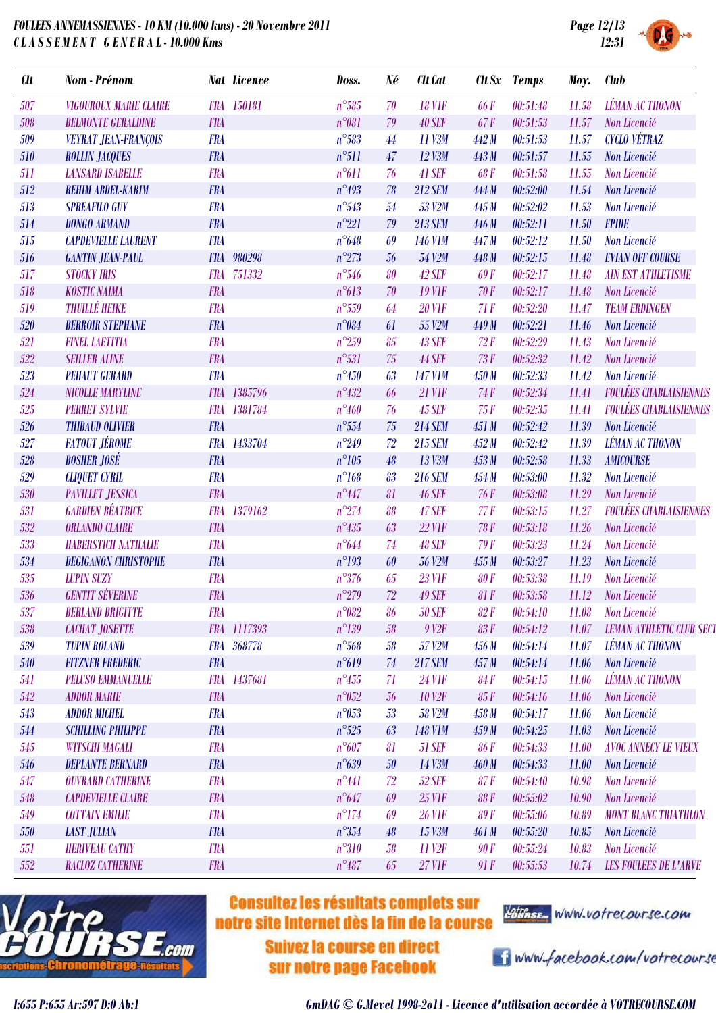

| <b>Clt</b> | Nom - Prénom                  |            | <b>Nat Licence</b> | Doss.          | Né | Clt Cat            |             | Clt Sx Temps | Moy.  | <b>Club</b>                     |
|------------|-------------------------------|------------|--------------------|----------------|----|--------------------|-------------|--------------|-------|---------------------------------|
| 507        | <b>VIGOUROUX MARIE CLAIRE</b> |            | FRA 150181         | $n^{\circ}585$ | 70 | <b>18 VIF</b>      | <b>66F</b>  | 00:51:48     | 11.58 | <b>LÉMAN AC THONON</b>          |
| 508        | <b>BELMONTE GERALDINE</b>     | <b>FRA</b> |                    | $n^{\circ}081$ | 79 | <b>40 SEF</b>      | 67F         | 00:51:53     | 11.57 | Non Licencié                    |
| 509        | <b>VEYRAT JEAN-FRANÇOIS</b>   | <b>FRA</b> |                    | $n^{\circ}583$ | 44 | 11 V3M             | 442 M       | 00:51:53     | 11.57 | <b>CYCLO VÉTRAZ</b>             |
| 510        | <b>ROLLIN JACQUES</b>         | <b>FRA</b> |                    | $n^{\circ}511$ | 47 | 12 V3M             | 443 M       | 00:51:57     | 11.55 | Non Licencié                    |
| 511        | <b>LANSARD ISABELLE</b>       | <b>FRA</b> |                    | $n^{\circ}611$ | 76 | 41 SEF             | <b>68F</b>  | 00:51:58     | 11.55 | Non Licencié                    |
| 512        | <b>REHIM ABDEL-KARIM</b>      | <b>FRA</b> |                    | $n^{\circ}493$ | 78 | <b>212 SEM</b>     | 444 M       | 00:52:00     | 11.54 | Non Licencié                    |
| 513        | <b>SPREAFILO GUY</b>          | <b>FRA</b> |                    | $n^{\circ}543$ | 54 | 53 V2M             | 445 M       | 00:52:02     | 11.53 | Non Licencié                    |
| 514        | <b>DONGO ARMAND</b>           | <b>FRA</b> |                    | $n^{\circ}221$ | 79 | <b>213 SEM</b>     | 446 M       | 00:52:11     | 11.50 | <b>EPIDE</b>                    |
| 515        | <b>CAPDEVIELLE LAURENT</b>    | <b>FRA</b> |                    | $n^{\circ}648$ | 69 | <b>146 V1M</b>     | 447 M       | 00:52:12     | 11.50 | Non Licencié                    |
| 516        | <b>GANTIN JEAN-PAUL</b>       |            | FRA 980298         | $n^{\circ}273$ | 56 | 54 V2M             | 448 M       | 00:52:15     | 11.48 | <b>EVIAN OFF COURSE</b>         |
| 517        | <b>STOCKY IRIS</b>            | <b>FRA</b> | 751332             | $n^{\circ}546$ | 80 | 42 SEF             | <b>69F</b>  | 00:52:17     | 11.48 | <b>AIN EST ATHLETISME</b>       |
| 518        | <b>KOSTIC NAIMA</b>           | <b>FRA</b> |                    | n°613          | 70 | <b>19 VIF</b>      | 70F         | 00:52:17     | 11.48 | Non Licencié                    |
| 519        | <b>THUILLÉ HEIKE</b>          | <b>FRA</b> |                    | $n^{\circ}559$ | 64 | <b>20 VIF</b>      | 71F         | 00:52:20     | 11.47 | <b>TEAM ERDINGEN</b>            |
| 520        | <b>BERROIR STEPHANE</b>       | <b>FRA</b> |                    | n°084          | 61 | 55 V2M             | 449 M       | 00:52:21     | 11.46 | Non Licencié                    |
| 521        | <b>FINEL LAETITIA</b>         | <b>FRA</b> |                    | $n^{\circ}259$ | 85 | <b>43 SEF</b>      | 72F         | 00:52:29     | 11.43 | Non Licencié                    |
| 522        | <b>SEILLER ALINE</b>          | <b>FRA</b> |                    | $n^{\circ}531$ | 75 | <b>44 SEF</b>      | 73F         | 00:52:32     | 11.42 | Non Licencié                    |
| 523        | <b>PEHAUT GERARD</b>          | <b>FRA</b> |                    | $n^{\circ}450$ | 63 | <b>147 V1M</b>     | 450 M       | 00:52:33     | 11.42 | Non Licencié                    |
| 524        | <b>NICOLLE MARYLINE</b>       |            | FRA 1385796        | $n^{\circ}432$ | 66 | <b>21 VIF</b>      | 74F         | 00:52:34     | 11.41 | <b>FOULÉES CHABLAISIENNES</b>   |
| 525        | <b>PERRET SYLVIE</b>          |            | FRA 1381784        | $n^{\circ}460$ | 76 | <b>45 SEF</b>      | 75F         | 00:52:35     | 11.41 | <b>FOULÉES CHABLAISIENNES</b>   |
| 526        | <b>THIBAUD OLIVIER</b>        | <b>FRA</b> |                    | $n^{\circ}554$ | 75 | <b>214 SEM</b>     | 451 M       | 00:52:42     | 11.39 | Non Licencié                    |
| 527        | <b>FATOUT JÉROME</b>          |            | FRA 1433704        | $n^{\circ}249$ | 72 | <b>215 SEM</b>     | 452M        | 00:52:42     | 11.39 | <b>LÉMAN AC THONON</b>          |
| 528        | <b>BOSHER JOSÉ</b>            | <b>FRA</b> |                    | $n^{\circ}105$ | 48 | 13 V3M             | 453M        | 00:52:58     | 11.33 | <b>AMICOURSE</b>                |
| 529        | <b>CLIQUET CYRIL</b>          | <b>FRA</b> |                    | $n^{\circ}168$ | 83 | <b>216 SEM</b>     | 454M        | 00:53:00     | 11.32 | Non Licencié                    |
| 530        | <b>PAVILLET JESSICA</b>       | <b>FRA</b> |                    | $n^{\circ}447$ | 81 | <b>46 SEF</b>      | 76F         | 00:53:08     | 11.29 | Non Licencié                    |
| 531        | <b>GARDIEN BÉATRICE</b>       |            | FRA 1379162        | $n^{\circ}274$ | 88 | <b>47 SEF</b>      | 77F         | 00:53:15     | 11.27 | <b>FOULÉES CHABLAISIENNES</b>   |
| 532        | <b>ORLANDO CLAIRE</b>         | <b>FRA</b> |                    | $n^{\circ}435$ | 63 | <b>22 VIF</b>      | <b>78 F</b> | 00:53:18     | 11.26 | Non Licencié                    |
| 533        | <b>HABERSTICH NATHALIE</b>    | <b>FRA</b> |                    | $n^{\circ}644$ | 74 | <b>48 SEF</b>      | 79F         | 00:53:23     | 11.24 | Non Licencié                    |
| 534        | <b>DEGIGANON CHRISTOPHE</b>   | <b>FRA</b> |                    | $n^{\circ}193$ | 60 | <b>56 V2M</b>      | 455M        | 00:53:27     | 11.23 | Non Licencié                    |
| 535        | <b>LUPIN SUZY</b>             | <b>FRA</b> |                    | $n^{\circ}376$ | 65 | <b>23 VIF</b>      | <b>80F</b>  | 00:53:38     | 11.19 | Non Licencié                    |
| 536        | <b>GENTIT SÉVERINE</b>        | <b>FRA</b> |                    | $n^{\circ}279$ | 72 | <b>49 SEF</b>      | 81F         | 00:53:58     | 11.12 | Non Licencié                    |
| 537        | <b>BERLAND BRIGITTE</b>       | <b>FRA</b> |                    | $n^{\circ}082$ | 86 | <b>50 SEF</b>      | 82F         | 00:54:10     | 11.08 | Non Licencié                    |
| 538        | <b>CACHAT JOSETTE</b>         |            | FRA 1117393        | $n^{\circ}139$ | 58 | 9 <sub>V2F</sub>   | 83F         | 00:54:12     | 11.07 | <b>LEMAN ATHLETIC CLUB SECT</b> |
| 539        | <b>TUPIN ROLAND</b>           |            | FRA 368778         | $n^{\circ}568$ | 58 | 57 V2M             | 456M        | 00:54:14     | 11.07 | <b>LÉMAN AC THONON</b>          |
| 540        | <b>FITZNER FREDERIC</b>       | <b>FRA</b> |                    | $n^{\circ}619$ | 74 | <b>217 SEM</b>     | 457M        | 00:54:14     | 11.06 | Non Licencié                    |
| 541        | <b>PELUSO EMMANUELLE</b>      |            | FRA 1437681        | $n^{\circ}455$ | 71 | <b>24 VIF</b>      | <b>84F</b>  | 00:54:15     | 11.06 | <b>LÉMAN AC THONON</b>          |
| 542        | <b>ADDOR MARIE</b>            | <b>FRA</b> |                    | $n^{\circ}052$ | 56 | <b>10 V2F</b>      | 85F         | 00:54:16     | 11.06 | Non Licencié                    |
| 543        | <b>ADDOR MICHEL</b>           | <b>FRA</b> |                    | $n^{\circ}053$ | 53 | <b>58 V2M</b>      | 458 M       | 00:54:17     | 11.06 | Non Licencié                    |
| 544        | <b>SCHILLING PHILIPPE</b>     | <b>FRA</b> |                    | $n^{\circ}525$ | 63 | <b>148 VIM</b>     | 459M        | 00:54:25     | 11.03 | Non Licencié                    |
| 545        | <b>WITSCHI MAGALI</b>         | <b>FRA</b> |                    | $n^{\circ}607$ | 81 | <b>51 SEF</b>      | <b>86F</b>  | 00:54:33     | 11.00 | <b>AVOC ANNECY LE VIEUX</b>     |
| 546        | <b>DEPLANTE BERNARD</b>       | <b>FRA</b> |                    | $n^{\circ}639$ | 50 | 14 V3M             | 460M        | 00:54:33     | 11.00 | Non Licencié                    |
| 547        | <b>OUVRARD CATHERINE</b>      | <b>FRA</b> |                    | $n^{\circ}441$ | 72 | <b>52 SEF</b>      | 87 F        | 00:54:40     | 10.98 | Non Licencié                    |
| 548        | <b>CAPDEVIELLE CLAIRE</b>     | <b>FRA</b> |                    | $n^{\circ}647$ | 69 | <b>25 VIF</b>      | <b>88F</b>  | 00:55:02     | 10.90 | Non Licencié                    |
| 549        | <b>COTTAIN EMILIE</b>         | <b>FRA</b> |                    | $n^{\circ}174$ | 69 | <b>26 VIF</b>      | <b>89F</b>  | 00:55:06     | 10.89 | <b>MONT BLANC TRIATHLON</b>     |
| 550        | <b>LAST JULIAN</b>            | <b>FRA</b> |                    | $n^{\circ}354$ | 48 | 15 V3M             | 461M        | 00:55:20     | 10.85 | Non Licencié                    |
| 551        | <b>HERIVEAU CATHY</b>         | <b>FRA</b> |                    | $n^{\circ}310$ | 58 | 11 V <sub>2F</sub> | 90F         | 00:55:24     | 10.83 | Non Licencié                    |
| 552        | <b>RACLOZ CATHERINE</b>       | <b>FRA</b> |                    | $n^{\circ}487$ | 65 | <b>27 VIF</b>      | 91F         | 00:55:53     | 10.74 | <b>LES FOULEES DE L'ARVE</b>    |



### **Consultez les résultats complets sur** notre site Internet dès la fin de la course

**Suivez la course en direct** sur notre page Facebook



i www.facebook.com/votrecourse